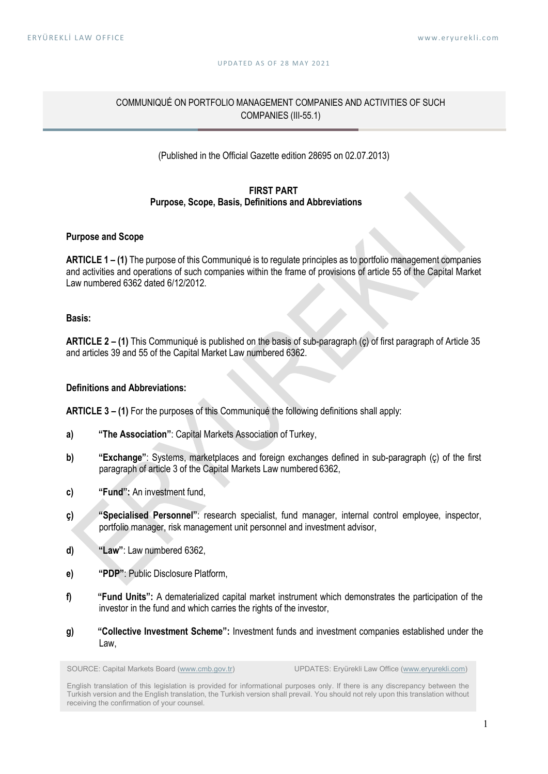#### U P D A T F D A S O F 28 M A Y 2021

# COMMUNIQUÉ ON PORTFOLIO MANAGEMENT COMPANIES AND ACTIVITIES OF SUCH COMPANIES (III-55.1)

# (Published in the Official Gazette edition 28695 on 02.07.2013)

#### FIRST PART Purpose, Scope, Basis, Definitions and Abbreviations

#### Purpose and Scope

ARTICLE 1 – (1) The purpose of this Communiqué is to regulate principles as to portfolio management companies and activities and operations of such companies within the frame of provisions of article 55 of the Capital Market Law numbered 6362 dated 6/12/2012.

### Basis:

ARTICLE 2 – (1) This Communiqué is published on the basis of sub-paragraph (ç) of first paragraph of Article 35 and articles 39 and 55 of the Capital Market Law numbered 6362.

#### Definitions and Abbreviations:

ARTICLE 3 – (1) For the purposes of this Communiqué the following definitions shall apply:

- a) "The Association": Capital Markets Association of Turkey,
- b) "Exchange": Systems, marketplaces and foreign exchanges defined in sub-paragraph (ç) of the first paragraph of article 3 of the Capital Markets Law numbered 6362,
- c) "Fund": An investment fund,
- ç) "Specialised Personnel": research specialist, fund manager, internal control employee, inspector, portfolio manager, risk management unit personnel and investment advisor,
- d) "Law": Law numbered 6362,
- e) "PDP": Public Disclosure Platform,
- f) "Fund Units": A dematerialized capital market instrument which demonstrates the participation of the investor in the fund and which carries the rights of the investor,
- g) "Collective Investment Scheme": Investment funds and investment companies established under the Law,

SOURCE: Capital Markets Board (www.cmb.gov.tr) UPDATES: Eryürekli Law Office (www.eryurekli.com)

English translation of this legislation is provided for informational purposes only. If there is any discrepancy between the Turkish version and the English translation, the Turkish version shall prevail. You should not rely upon this translation without receiving the confirmation of your counsel.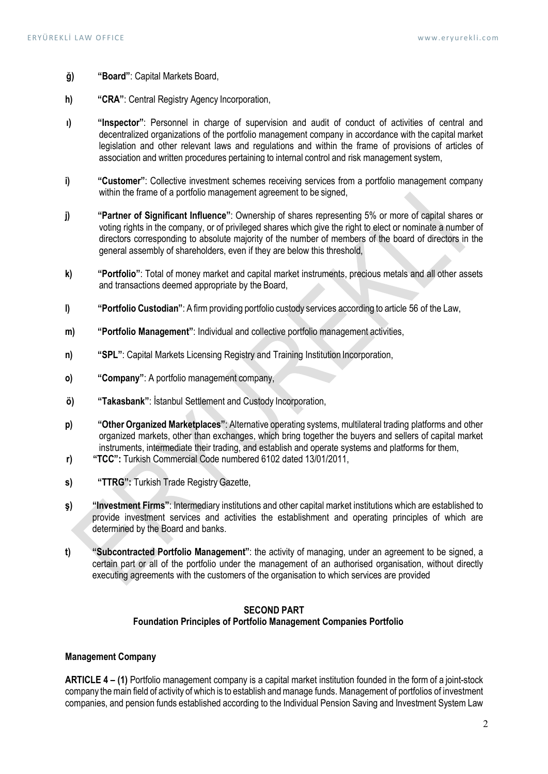- ğ) "Board": Capital Markets Board,
- h) "CRA": Central Registry Agency Incorporation,
- ı) "Inspector": Personnel in charge of supervision and audit of conduct of activities of central and decentralized organizations of the portfolio management company in accordance with the capital market legislation and other relevant laws and regulations and within the frame of provisions of articles of association and written procedures pertaining to internal control and risk management system,
- i) "Customer": Collective investment schemes receiving services from a portfolio management company within the frame of a portfolio management agreement to be signed,
- j) "Partner of Significant Influence": Ownership of shares representing 5% or more of capital shares or voting rights in the company, or of privileged shares which give the right to elect or nominate a number of directors corresponding to absolute majority of the number of members of the board of directors in the general assembly of shareholders, even if they are below this threshold,
- k) "Portfolio": Total of money market and capital market instruments, precious metals and all other assets and transactions deemed appropriate by the Board,
- l) "Portfolio Custodian": A firm providing portfolio custody services according to article 56 of the Law,
- m) "Portfolio Management": Individual and collective portfolio management activities,
- n) "SPL": Capital Markets Licensing Registry and Training Institution Incorporation,
- o) "Company": A portfolio management company,
- ö) "Takasbank": İstanbul Settlement and Custody Incorporation,
- p) "Other Organized Marketplaces": Alternative operating systems, multilateral trading platforms and other organized markets, other than exchanges, which bring together the buyers and sellers of capital market instruments, intermediate their trading, and establish and operate systems and platforms for them,
- r) "TCC": Turkish Commercial Code numbered 6102 dated 13/01/2011,
- s) "TTRG": Turkish Trade Registry Gazette,
- ş) "Investment Firms": Intermediary institutions and other capital market institutions which are established to provide investment services and activities the establishment and operating principles of which are determined by the Board and banks.
- t) "Subcontracted Portfolio Management": the activity of managing, under an agreement to be signed, a certain part or all of the portfolio under the management of an authorised organisation, without directly executing agreements with the customers of the organisation to which services are provided

### SECOND PART Foundation Principles of Portfolio Management Companies Portfolio

#### Management Company

ARTICLE 4 – (1) Portfolio management company is a capital market institution founded in the form of a joint-stock company the main field of activity of which is to establish and manage funds. Management of portfolios of investment companies, and pension funds established according to the Individual Pension Saving and Investment System Law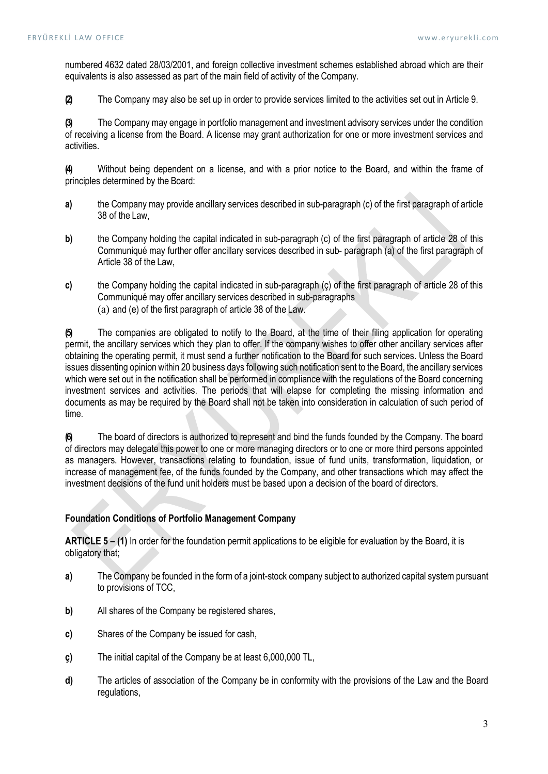numbered 4632 dated 28/03/2001, and foreign collective investment schemes established abroad which are their equivalents is also assessed as part of the main field of activity of the Company.

(2) The Company may also be set up in order to provide services limited to the activities set out in Article 9.

(3) The Company may engage in portfolio management and investment advisory services under the condition of receiving a license from the Board. A license may grant authorization for one or more investment services and activities.

(4) Without being dependent on a license, and with a prior notice to the Board, and within the frame of principles determined by the Board:

- a) the Company may provide ancillary services described in sub-paragraph (c) of the first paragraph of article 38 of the Law,
- b) the Company holding the capital indicated in sub-paragraph (c) of the first paragraph of article 28 of this Communiqué may further offer ancillary services described in sub- paragraph (a) of the first paragraph of Article 38 of the Law,
- c) the Company holding the capital indicated in sub-paragraph (ç) of the first paragraph of article 28 of this Communiqué may offer ancillary services described in sub-paragraphs (a) and (e) of the first paragraph of article 38 of the Law.

(5) The companies are obligated to notify to the Board, at the time of their filing application for operating permit, the ancillary services which they plan to offer. If the company wishes to offer other ancillary services after obtaining the operating permit, it must send a further notification to the Board for such services. Unless the Board issues dissenting opinion within 20 business days following such notification sent to the Board, the ancillary services which were set out in the notification shall be performed in compliance with the regulations of the Board concerning investment services and activities. The periods that will elapse for completing the missing information and documents as may be required by the Board shall not be taken into consideration in calculation of such period of time.

(6) The board of directors is authorized to represent and bind the funds founded by the Company. The board of directors may delegate this power to one or more managing directors or to one or more third persons appointed as managers. However, transactions relating to foundation, issue of fund units, transformation, liquidation, or increase of management fee, of the funds founded by the Company, and other transactions which may affect the investment decisions of the fund unit holders must be based upon a decision of the board of directors.

# Foundation Conditions of Portfolio Management Company

ARTICLE 5 – (1) In order for the foundation permit applications to be eligible for evaluation by the Board, it is obligatory that;

- a) The Company be founded in the form of a joint-stock company subject to authorized capital system pursuant to provisions of TCC,
- b) All shares of the Company be registered shares,
- c) Shares of the Company be issued for cash,
- ç) The initial capital of the Company be at least 6,000,000 TL,
- d) The articles of association of the Company be in conformity with the provisions of the Law and the Board regulations,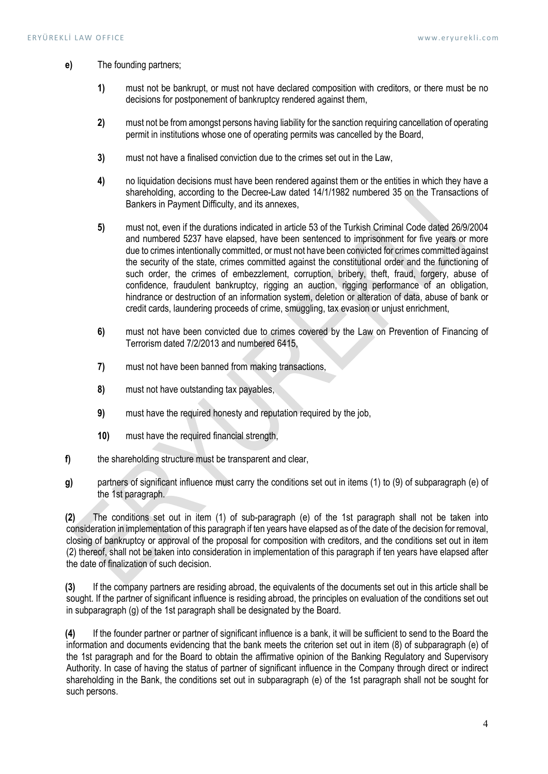- e) The founding partners;
	- 1) must not be bankrupt, or must not have declared composition with creditors, or there must be no decisions for postponement of bankruptcy rendered against them,
	- 2) must not be from amongst persons having liability for the sanction requiring cancellation of operating permit in institutions whose one of operating permits was cancelled by the Board,
	- 3) must not have a finalised conviction due to the crimes set out in the Law,
	- 4) no liquidation decisions must have been rendered against them or the entities in which they have a shareholding, according to the Decree-Law dated 14/1/1982 numbered 35 on the Transactions of Bankers in Payment Difficulty, and its annexes,
	- 5) must not, even if the durations indicated in article 53 of the Turkish Criminal Code dated 26/9/2004 and numbered 5237 have elapsed, have been sentenced to imprisonment for five years or more due to crimes intentionally committed, or must not have been convicted for crimes committed against the security of the state, crimes committed against the constitutional order and the functioning of such order, the crimes of embezzlement, corruption, bribery, theft, fraud, forgery, abuse of confidence, fraudulent bankruptcy, rigging an auction, rigging performance of an obligation, hindrance or destruction of an information system, deletion or alteration of data, abuse of bank or credit cards, laundering proceeds of crime, smuggling, tax evasion or unjust enrichment,
	- 6) must not have been convicted due to crimes covered by the Law on Prevention of Financing of Terrorism dated 7/2/2013 and numbered 6415,
	- 7) must not have been banned from making transactions,
	- 8) must not have outstanding tax payables.
	- 9) must have the required honesty and reputation required by the job,
	- 10) must have the required financial strength,
- f) the shareholding structure must be transparent and clear,
- g) partners of significant influence must carry the conditions set out in items (1) to (9) of subparagraph (e) of the 1st paragraph.

(2) The conditions set out in item (1) of sub-paragraph (e) of the 1st paragraph shall not be taken into consideration in implementation of this paragraph if ten years have elapsed as of the date of the decision for removal, closing of bankruptcy or approval of the proposal for composition with creditors, and the conditions set out in item (2) thereof, shall not be taken into consideration in implementation of this paragraph if ten years have elapsed after the date of finalization of such decision.

(3) If the company partners are residing abroad, the equivalents of the documents set out in this article shall be sought. If the partner of significant influence is residing abroad, the principles on evaluation of the conditions set out in subparagraph (g) of the 1st paragraph shall be designated by the Board.

(4) If the founder partner or partner of significant influence is a bank, it will be sufficient to send to the Board the information and documents evidencing that the bank meets the criterion set out in item (8) of subparagraph (e) of the 1st paragraph and for the Board to obtain the affirmative opinion of the Banking Regulatory and Supervisory Authority. In case of having the status of partner of significant influence in the Company through direct or indirect shareholding in the Bank, the conditions set out in subparagraph (e) of the 1st paragraph shall not be sought for such persons.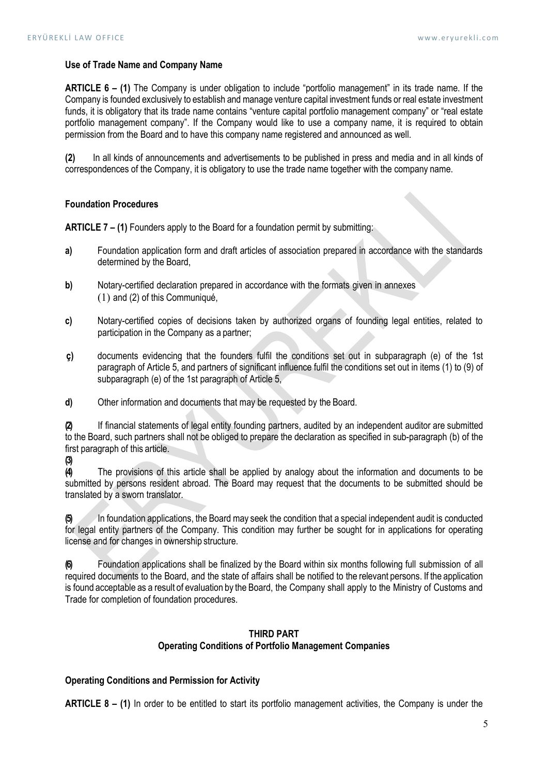### Use of Trade Name and Company Name

ARTICLE 6 – (1) The Company is under obligation to include "portfolio management" in its trade name. If the Company is founded exclusively to establish and manage venture capital investment funds or real estate investment funds, it is obligatory that its trade name contains "venture capital portfolio management company" or "real estate portfolio management company". If the Company would like to use a company name, it is required to obtain permission from the Board and to have this company name registered and announced as well.

(2) In all kinds of announcements and advertisements to be published in press and media and in all kinds of correspondences of the Company, it is obligatory to use the trade name together with the company name.

#### Foundation Procedures

**ARTICLE 7 – (1)** Founders apply to the Board for a foundation permit by submitting:

- a) Foundation application form and draft articles of association prepared in accordance with the standards determined by the Board,
- b) Notary-certified declaration prepared in accordance with the formats given in annexes (1) and (2) of this Communiqué,
- c) Notary-certified copies of decisions taken by authorized organs of founding legal entities, related to participation in the Company as a partner;
- ç) documents evidencing that the founders fulfil the conditions set out in subparagraph (e) of the 1st paragraph of Article 5, and partners of significant influence fulfil the conditions set out in items (1) to (9) of subparagraph (e) of the 1st paragraph of Article 5,
- d) Other information and documents that may be requested by the Board.

(2) If financial statements of legal entity founding partners, audited by an independent auditor are submitted to the Board, such partners shall not be obliged to prepare the declaration as specified in sub-paragraph (b) of the first paragraph of this article.

(3)

(4) The provisions of this article shall be applied by analogy about the information and documents to be submitted by persons resident abroad. The Board may request that the documents to be submitted should be translated by a sworn translator.

(5) In foundation applications, the Board may seek the condition that a special independent audit is conducted for legal entity partners of the Company. This condition may further be sought for in applications for operating license and for changes in ownership structure.

(6) Foundation applications shall be finalized by the Board within six months following full submission of all required documents to the Board, and the state of affairs shall be notified to the relevant persons. If the application is found acceptable as a result of evaluation by the Board, the Company shall apply to the Ministry of Customs and Trade for completion of foundation procedures.

# THIRD PART Operating Conditions of Portfolio Management Companies

### Operating Conditions and Permission for Activity

ARTICLE 8 – (1) In order to be entitled to start its portfolio management activities, the Company is under the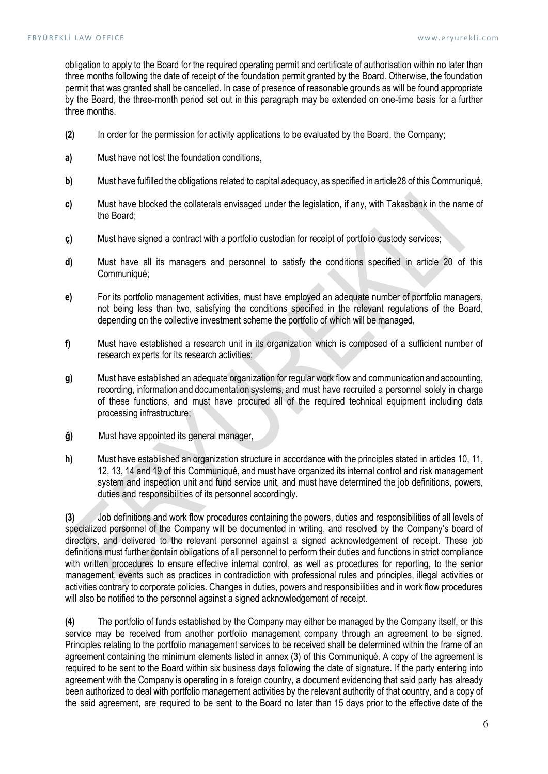obligation to apply to the Board for the required operating permit and certificate of authorisation within no later than three months following the date of receipt of the foundation permit granted by the Board. Otherwise, the foundation permit that was granted shall be cancelled. In case of presence of reasonable grounds as will be found appropriate by the Board, the three-month period set out in this paragraph may be extended on one-time basis for a further three months.

- (2) In order for the permission for activity applications to be evaluated by the Board, the Company;
- a) Must have not lost the foundation conditions,
- b) Must have fulfilled the obligations related to capital adequacy, as specified in article 28 of this Communiqué,
- c) Must have blocked the collaterals envisaged under the legislation, if any, with Takasbank in the name of the Board;
- ç) Must have signed a contract with a portfolio custodian for receipt of portfolio custody services;
- d) Must have all its managers and personnel to satisfy the conditions specified in article 20 of this Communiqué;
- e) For its portfolio management activities, must have employed an adequate number of portfolio managers, not being less than two, satisfying the conditions specified in the relevant regulations of the Board, depending on the collective investment scheme the portfolio of which will be managed,
- f) Must have established a research unit in its organization which is composed of a sufficient number of research experts for its research activities;
- g) Must have established an adequate organization for regular work flow and communication and accounting, recording, information and documentation systems, and must have recruited a personnel solely in charge of these functions, and must have procured all of the required technical equipment including data processing infrastructure;
- ğ) Must have appointed its general manager,
- h) Must have established an organization structure in accordance with the principles stated in articles 10, 11, 12, 13, 14 and 19 of this Communiqué, and must have organized its internal control and risk management system and inspection unit and fund service unit, and must have determined the job definitions, powers, duties and responsibilities of its personnel accordingly.

(3) Job definitions and work flow procedures containing the powers, duties and responsibilities of all levels of specialized personnel of the Company will be documented in writing, and resolved by the Company's board of directors, and delivered to the relevant personnel against a signed acknowledgement of receipt. These job definitions must further contain obligations of all personnel to perform their duties and functions in strict compliance with written procedures to ensure effective internal control, as well as procedures for reporting, to the senior management, events such as practices in contradiction with professional rules and principles, illegal activities or activities contrary to corporate policies. Changes in duties, powers and responsibilities and in work flow procedures will also be notified to the personnel against a signed acknowledgement of receipt.

(4) The portfolio of funds established by the Company may either be managed by the Company itself, or this service may be received from another portfolio management company through an agreement to be signed. Principles relating to the portfolio management services to be received shall be determined within the frame of an agreement containing the minimum elements listed in annex (3) of this Communiqué. A copy of the agreement is required to be sent to the Board within six business days following the date of signature. If the party entering into agreement with the Company is operating in a foreign country, a document evidencing that said party has already been authorized to deal with portfolio management activities by the relevant authority of that country, and a copy of the said agreement, are required to be sent to the Board no later than 15 days prior to the effective date of the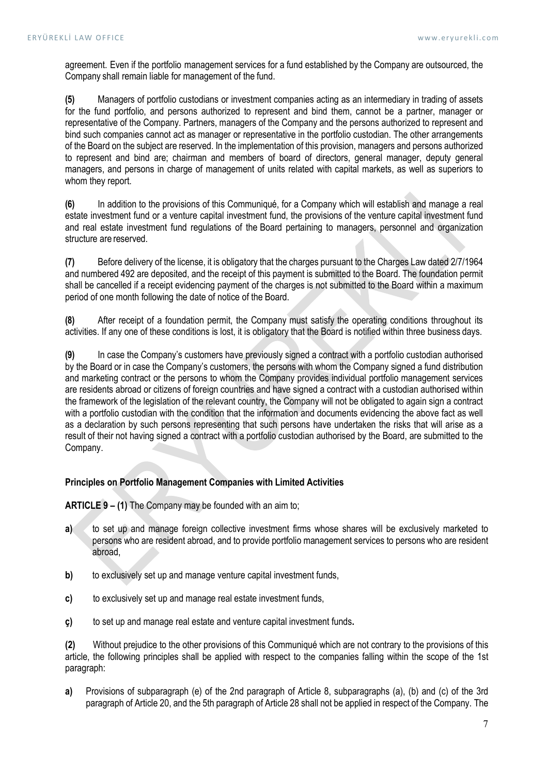agreement. Even if the portfolio management services for a fund established by the Company are outsourced, the Company shall remain liable for management of the fund.

(5) Managers of portfolio custodians or investment companies acting as an intermediary in trading of assets for the fund portfolio, and persons authorized to represent and bind them, cannot be a partner, manager or representative of the Company. Partners, managers of the Company and the persons authorized to represent and bind such companies cannot act as manager or representative in the portfolio custodian. The other arrangements of the Board on the subject are reserved. In the implementation of this provision, managers and persons authorized to represent and bind are; chairman and members of board of directors, general manager, deputy general managers, and persons in charge of management of units related with capital markets, as well as superiors to whom they report.

(6) In addition to the provisions of this Communiqué, for a Company which will establish and manage a real estate investment fund or a venture capital investment fund, the provisions of the venture capital investment fund and real estate investment fund regulations of the Board pertaining to managers, personnel and organization structure are reserved.

(7) Before delivery of the license, it is obligatory that the charges pursuant to the Charges Law dated 2/7/1964 and numbered 492 are deposited, and the receipt of this payment is submitted to the Board. The foundation permit shall be cancelled if a receipt evidencing payment of the charges is not submitted to the Board within a maximum period of one month following the date of notice of the Board.

(8) After receipt of a foundation permit, the Company must satisfy the operating conditions throughout its activities. If any one of these conditions is lost, it is obligatory that the Board is notified within three business days.

(9) In case the Company's customers have previously signed a contract with a portfolio custodian authorised by the Board or in case the Company's customers, the persons with whom the Company signed a fund distribution and marketing contract or the persons to whom the Company provides individual portfolio management services are residents abroad or citizens of foreign countries and have signed a contract with a custodian authorised within the framework of the legislation of the relevant country, the Company will not be obligated to again sign a contract with a portfolio custodian with the condition that the information and documents evidencing the above fact as well as a declaration by such persons representing that such persons have undertaken the risks that will arise as a result of their not having signed a contract with a portfolio custodian authorised by the Board, are submitted to the Company.

# Principles on Portfolio Management Companies with Limited Activities

ARTICLE 9 – (1) The Company may be founded with an aim to;

- a) to set up and manage foreign collective investment firms whose shares will be exclusively marketed to persons who are resident abroad, and to provide portfolio management services to persons who are resident abroad,
- b) to exclusively set up and manage venture capital investment funds,
- c) to exclusively set up and manage real estate investment funds,
- ç) to set up and manage real estate and venture capital investment funds.

(2) Without prejudice to the other provisions of this Communiqué which are not contrary to the provisions of this article, the following principles shall be applied with respect to the companies falling within the scope of the 1st paragraph:

a) Provisions of subparagraph (e) of the 2nd paragraph of Article 8, subparagraphs (a), (b) and (c) of the 3rd paragraph of Article 20, and the 5th paragraph of Article 28 shall not be applied in respect of the Company. The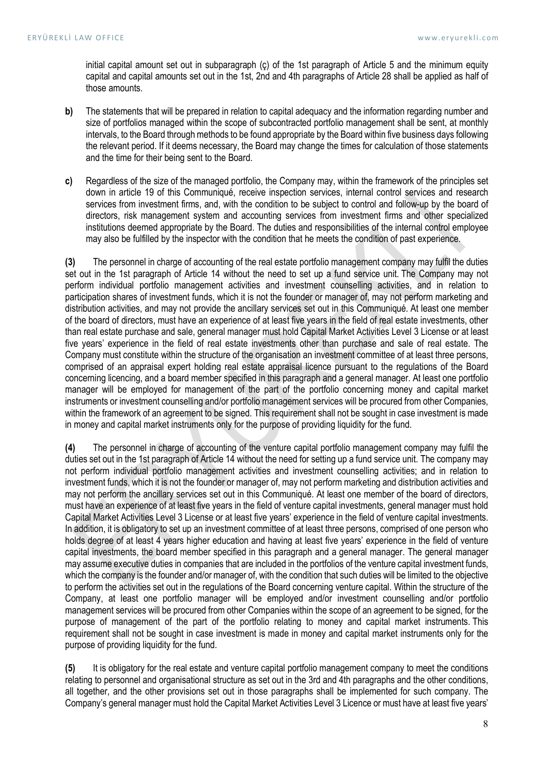initial capital amount set out in subparagraph (ç) of the 1st paragraph of Article 5 and the minimum equity capital and capital amounts set out in the 1st, 2nd and 4th paragraphs of Article 28 shall be applied as half of those amounts.

- b) The statements that will be prepared in relation to capital adequacy and the information regarding number and size of portfolios managed within the scope of subcontracted portfolio management shall be sent, at monthly intervals, to the Board through methods to be found appropriate by the Board within five business days following the relevant period. If it deems necessary, the Board may change the times for calculation of those statements and the time for their being sent to the Board.
- c) Regardless of the size of the managed portfolio, the Company may, within the framework of the principles set down in article 19 of this Communiqué, receive inspection services, internal control services and research services from investment firms, and, with the condition to be subject to control and follow-up by the board of directors, risk management system and accounting services from investment firms and other specialized institutions deemed appropriate by the Board. The duties and responsibilities of the internal control employee may also be fulfilled by the inspector with the condition that he meets the condition of past experience.

(3) The personnel in charge of accounting of the real estate portfolio management company may fulfil the duties set out in the 1st paragraph of Article 14 without the need to set up a fund service unit. The Company may not perform individual portfolio management activities and investment counselling activities, and in relation to participation shares of investment funds, which it is not the founder or manager of, may not perform marketing and distribution activities, and may not provide the ancillary services set out in this Communiqué. At least one member of the board of directors, must have an experience of at least five years in the field of real estate investments, other than real estate purchase and sale, general manager must hold Capital Market Activities Level 3 License or at least five years' experience in the field of real estate investments other than purchase and sale of real estate. The Company must constitute within the structure of the organisation an investment committee of at least three persons, comprised of an appraisal expert holding real estate appraisal licence pursuant to the regulations of the Board concerning licencing, and a board member specified in this paragraph and a general manager. At least one portfolio manager will be employed for management of the part of the portfolio concerning money and capital market instruments or investment counselling and/or portfolio management services will be procured from other Companies, within the framework of an agreement to be signed. This requirement shall not be sought in case investment is made in money and capital market instruments only for the purpose of providing liquidity for the fund.

(4) The personnel in charge of accounting of the venture capital portfolio management company may fulfil the duties set out in the 1st paragraph of Article 14 without the need for setting up a fund service unit. The company may not perform individual portfolio management activities and investment counselling activities; and in relation to investment funds, which it is not the founder or manager of, may not perform marketing and distribution activities and may not perform the ancillary services set out in this Communiqué. At least one member of the board of directors, must have an experience of at least five years in the field of venture capital investments, general manager must hold Capital Market Activities Level 3 License or at least five years' experience in the field of venture capital investments. In addition, it is obligatory to set up an investment committee of at least three persons, comprised of one person who holds degree of at least 4 years higher education and having at least five years' experience in the field of venture capital investments, the board member specified in this paragraph and a general manager. The general manager may assume executive duties in companies that are included in the portfolios of the venture capital investment funds, which the company is the founder and/or manager of, with the condition that such duties will be limited to the objective to perform the activities set out in the regulations of the Board concerning venture capital. Within the structure of the Company, at least one portfolio manager will be employed and/or investment counselling and/or portfolio management services will be procured from other Companies within the scope of an agreement to be signed, for the purpose of management of the part of the portfolio relating to money and capital market instruments. This requirement shall not be sought in case investment is made in money and capital market instruments only for the purpose of providing liquidity for the fund.

(5) It is obligatory for the real estate and venture capital portfolio management company to meet the conditions relating to personnel and organisational structure as set out in the 3rd and 4th paragraphs and the other conditions, all together, and the other provisions set out in those paragraphs shall be implemented for such company. The Company's general manager must hold the Capital Market Activities Level 3 Licence or must have at least five years'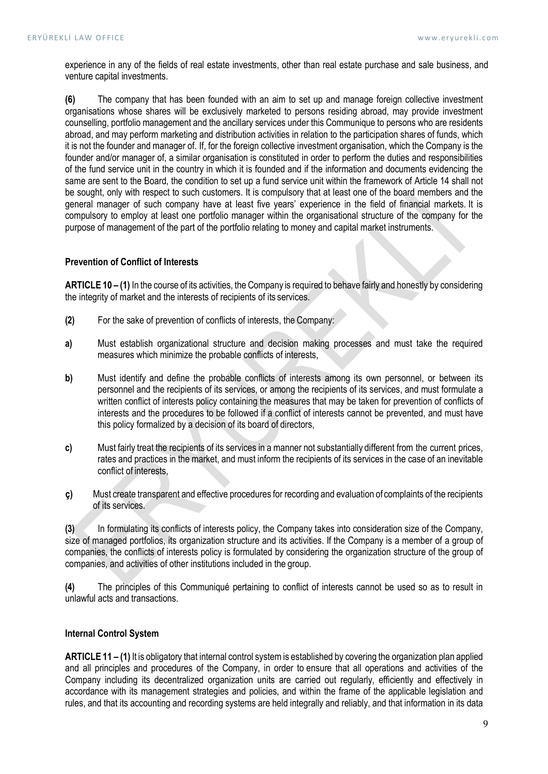experience in any of the fields of real estate investments, other than real estate purchase and sale business, and venture capital investments.

 (6) The company that has been founded with an aim to set up and manage foreign collective investment organisations whose shares will be exclusively marketed to persons residing abroad, may provide investment counselling, portfolio management and the ancillary services under this Communique to persons who are residents abroad, and may perform marketing and distribution activities in relation to the participation shares of funds, which it is not the founder and manager of. If, for the foreign collective investment organisation, which the Company is the founder and/or manager of, a similar organisation is constituted in order to perform the duties and responsibilities of the fund service unit in the country in which it is founded and if the information and documents evidencing the same are sent to the Board, the condition to set up a fund service unit within the framework of Article 14 shall not be sought, only with respect to such customers. It is compulsory that at least one of the board members and the general manager of such company have at least five years' experience in the field of financial markets. It is compulsory to employ at least one portfolio manager within the organisational structure of the company for the purpose of management of the part of the portfolio relating to money and capital market instruments.

# Prevention of Conflict of Interests

ARTICLE 10 – (1) In the course of its activities, the Company is required to behave fairly and honestly by considering the integrity of market and the interests of recipients of its services.

- (2) For the sake of prevention of conflicts of interests, the Company:
- a) Must establish organizational structure and decision making processes and must take the required measures which minimize the probable conflicts of interests,
- b) Must identify and define the probable conflicts of interests among its own personnel, or between its personnel and the recipients of its services, or among the recipients of its services, and must formulate a written conflict of interests policy containing the measures that may be taken for prevention of conflicts of interests and the procedures to be followed if a conflict of interests cannot be prevented, and must have this policy formalized by a decision of its board of directors,
- c) Must fairly treat the recipients of its services in a manner not substantially different from the current prices, rates and practices in the market, and must inform the recipients of its services in the case of an inevitable conflict of interests,
- ç) Must create transparent and effective procedures for recording and evaluation of complaints of the recipients of its services.

(3) In formulating its conflicts of interests policy, the Company takes into consideration size of the Company, size of managed portfolios, its organization structure and its activities. If the Company is a member of a group of companies, the conflicts of interests policy is formulated by considering the organization structure of the group of companies, and activities of other institutions included in the group.

(4) The principles of this Communiqué pertaining to conflict of interests cannot be used so as to result in unlawful acts and transactions.

# Internal Control System

ARTICLE 11 – (1) It is obligatory that internal control system is established by covering the organization plan applied and all principles and procedures of the Company, in order to ensure that all operations and activities of the Company including its decentralized organization units are carried out regularly, efficiently and effectively in accordance with its management strategies and policies, and within the frame of the applicable legislation and rules, and that its accounting and recording systems are held integrally and reliably, and that information in its data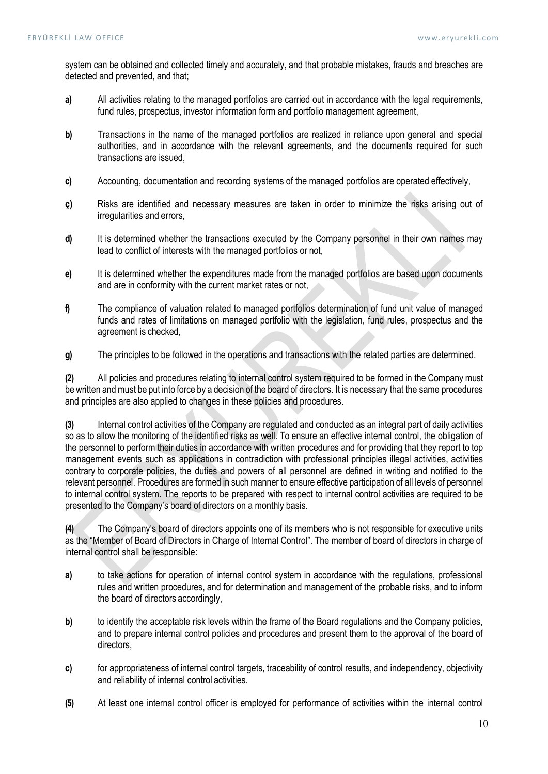system can be obtained and collected timely and accurately, and that probable mistakes, frauds and breaches are detected and prevented, and that;

- a) All activities relating to the managed portfolios are carried out in accordance with the legal requirements, fund rules, prospectus, investor information form and portfolio management agreement,
- b) Transactions in the name of the managed portfolios are realized in reliance upon general and special authorities, and in accordance with the relevant agreements, and the documents required for such transactions are issued,
- c) Accounting, documentation and recording systems of the managed portfolios are operated effectively,
- ç) Risks are identified and necessary measures are taken in order to minimize the risks arising out of irregularities and errors,
- d) It is determined whether the transactions executed by the Company personnel in their own names may lead to conflict of interests with the managed portfolios or not,
- e) It is determined whether the expenditures made from the managed portfolios are based upon documents and are in conformity with the current market rates or not,
- f) The compliance of valuation related to managed portfolios determination of fund unit value of managed funds and rates of limitations on managed portfolio with the legislation, fund rules, prospectus and the agreement is checked,
- g) The principles to be followed in the operations and transactions with the related parties are determined.

(2) All policies and procedures relating to internal control system required to be formed in the Company must be written and must be put into force by a decision of the board of directors. It is necessary that the same procedures and principles are also applied to changes in these policies and procedures.

(3) Internal control activities of the Company are regulated and conducted as an integral part of daily activities so as to allow the monitoring of the identified risks as well. To ensure an effective internal control, the obligation of the personnel to perform their duties in accordance with written procedures and for providing that they report to top management events such as applications in contradiction with professional principles illegal activities, activities contrary to corporate policies, the duties and powers of all personnel are defined in writing and notified to the relevant personnel. Procedures are formed in such manner to ensure effective participation of all levels of personnel to internal control system. The reports to be prepared with respect to internal control activities are required to be presented to the Company's board of directors on a monthly basis.

(4) The Company's board of directors appoints one of its members who is not responsible for executive units as the "Member of Board of Directors in Charge of Internal Control". The member of board of directors in charge of internal control shall be responsible:

- a) to take actions for operation of internal control system in accordance with the regulations, professional rules and written procedures, and for determination and management of the probable risks, and to inform the board of directors accordingly,
- b) to identify the acceptable risk levels within the frame of the Board regulations and the Company policies, and to prepare internal control policies and procedures and present them to the approval of the board of directors,
- c) for appropriateness of internal control targets, traceability of control results, and independency, objectivity and reliability of internal control activities.
- (5) At least one internal control officer is employed for performance of activities within the internal control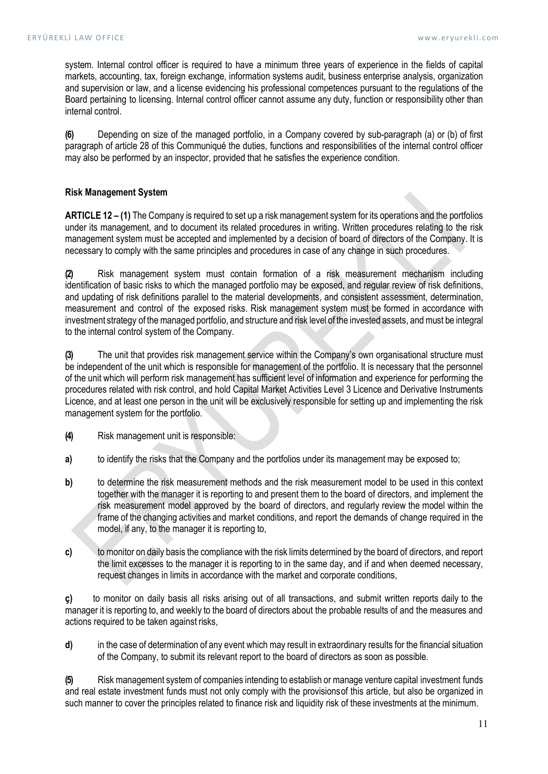system. Internal control officer is required to have a minimum three years of experience in the fields of capital markets, accounting, tax, foreign exchange, information systems audit, business enterprise analysis, organization and supervision or law, and a license evidencing his professional competences pursuant to the regulations of the Board pertaining to licensing. Internal control officer cannot assume any duty, function or responsibility other than internal control.

(6) Depending on size of the managed portfolio, in a Company covered by sub-paragraph (a) or (b) of first paragraph of article 28 of this Communiqué the duties, functions and responsibilities of the internal control officer may also be performed by an inspector, provided that he satisfies the experience condition.

# Risk Management System

ARTICLE 12 – (1) The Company is required to set up a risk management system for its operations and the portfolios under its management, and to document its related procedures in writing. Written procedures relating to the risk management system must be accepted and implemented by a decision of board of directors of the Company. It is necessary to comply with the same principles and procedures in case of any change in such procedures.

(2) Risk management system must contain formation of a risk measurement mechanism including identification of basic risks to which the managed portfolio may be exposed, and regular review of risk definitions, and updating of risk definitions parallel to the material developments, and consistent assessment, determination, measurement and control of the exposed risks. Risk management system must be formed in accordance with investment strategy of the managed portfolio, and structure and risk level of the invested assets, and must be integral to the internal control system of the Company.

(3) The unit that provides risk management service within the Company's own organisational structure must be independent of the unit which is responsible for management of the portfolio. It is necessary that the personnel of the unit which will perform risk management has sufficient level of information and experience for performing the procedures related with risk control, and hold Capital Market Activities Level 3 Licence and Derivative Instruments Licence, and at least one person in the unit will be exclusively responsible for setting up and implementing the risk management system for the portfolio.

(4) Risk management unit is responsible:

- a) to identify the risks that the Company and the portfolios under its management may be exposed to:
- b) to determine the risk measurement methods and the risk measurement model to be used in this context together with the manager it is reporting to and present them to the board of directors, and implement the risk measurement model approved by the board of directors, and regularly review the model within the frame of the changing activities and market conditions, and report the demands of change required in the model, if any, to the manager it is reporting to,
- c) to monitor on daily basis the compliance with the risk limits determined by the board of directors, and report the limit excesses to the manager it is reporting to in the same day, and if and when deemed necessary, request changes in limits in accordance with the market and corporate conditions,

ç) to monitor on daily basis all risks arising out of all transactions, and submit written reports daily to the manager it is reporting to, and weekly to the board of directors about the probable results of and the measures and actions required to be taken against risks,

d) in the case of determination of any event which may result in extraordinary results for the financial situation of the Company, to submit its relevant report to the board of directors as soon as possible.

(5) Risk management system of companies intending to establish or manage venture capital investment funds and real estate investment funds must not only comply with the provisions of this article, but also be organized in such manner to cover the principles related to finance risk and liquidity risk of these investments at the minimum.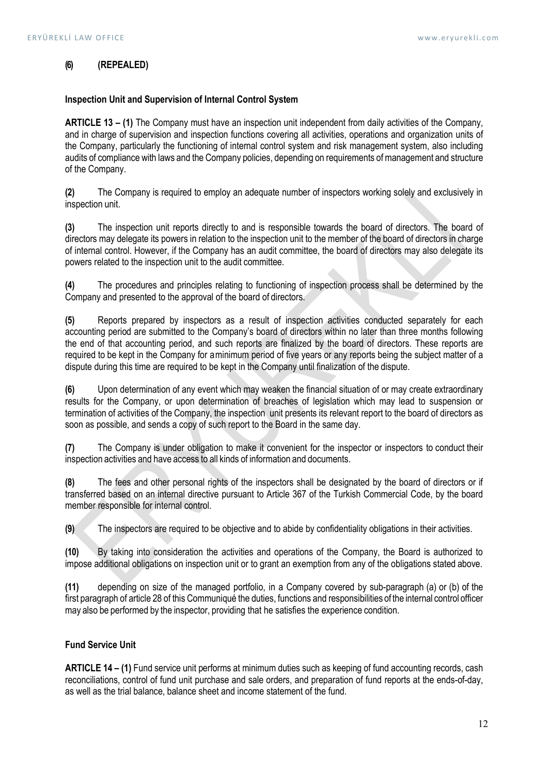# (6) (REPEALED)

## Inspection Unit and Supervision of Internal Control System

ARTICLE 13 – (1) The Company must have an inspection unit independent from daily activities of the Company, and in charge of supervision and inspection functions covering all activities, operations and organization units of the Company, particularly the functioning of internal control system and risk management system, also including audits of compliance with laws and the Company policies, depending on requirements of management and structure of the Company.

(2) The Company is required to employ an adequate number of inspectors working solely and exclusively in inspection unit.

(3) The inspection unit reports directly to and is responsible towards the board of directors. The board of directors may delegate its powers in relation to the inspection unit to the member of the board of directors in charge of internal control. However, if the Company has an audit committee, the board of directors may also delegate its powers related to the inspection unit to the audit committee.

(4) The procedures and principles relating to functioning of inspection process shall be determined by the Company and presented to the approval of the board of directors.

(5) Reports prepared by inspectors as a result of inspection activities conducted separately for each accounting period are submitted to the Company's board of directors within no later than three months following the end of that accounting period, and such reports are finalized by the board of directors. These reports are required to be kept in the Company for a minimum period of five years or any reports being the subject matter of a dispute during this time are required to be kept in the Company until finalization of the dispute.

(6) Upon determination of any event which may weaken the financial situation of or may create extraordinary results for the Company, or upon determination of breaches of legislation which may lead to suspension or termination of activities of the Company, the inspection unit presents its relevant report to the board of directors as soon as possible, and sends a copy of such report to the Board in the same day.

(7) The Company is under obligation to make it convenient for the inspector or inspectors to conduct their inspection activities and have access to all kinds of information and documents.

(8) The fees and other personal rights of the inspectors shall be designated by the board of directors or if transferred based on an internal directive pursuant to Article 367 of the Turkish Commercial Code, by the board member responsible for internal control.

(9) The inspectors are required to be objective and to abide by confidentiality obligations in their activities.

(10) By taking into consideration the activities and operations of the Company, the Board is authorized to impose additional obligations on inspection unit or to grant an exemption from any of the obligations stated above.

(11) depending on size of the managed portfolio, in a Company covered by sub-paragraph (a) or (b) of the first paragraph of article 28 of this Communiqué the duties, functions and responsibilities of the internal control officer may also be performed by the inspector, providing that he satisfies the experience condition.

# Fund Service Unit

ARTICLE 14 – (1) Fund service unit performs at minimum duties such as keeping of fund accounting records, cash reconciliations, control of fund unit purchase and sale orders, and preparation of fund reports at the ends-of-day, as well as the trial balance, balance sheet and income statement of the fund.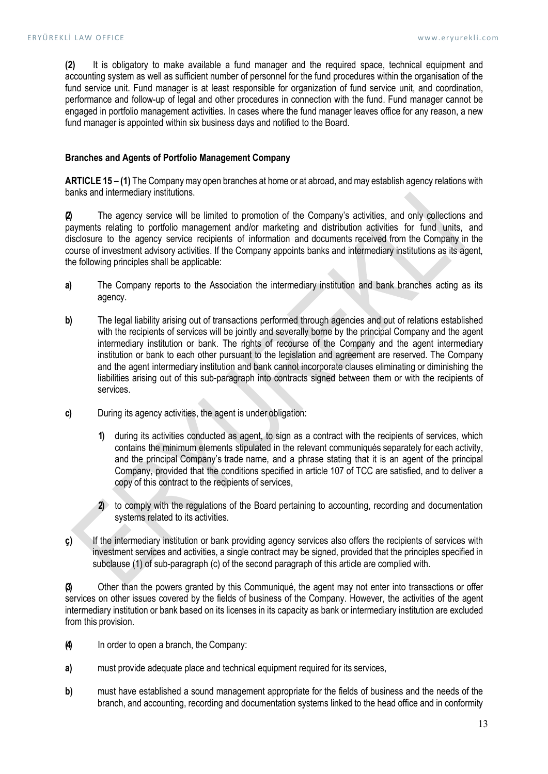(2) It is obligatory to make available a fund manager and the required space, technical equipment and accounting system as well as sufficient number of personnel for the fund procedures within the organisation of the fund service unit. Fund manager is at least responsible for organization of fund service unit, and coordination, performance and follow-up of legal and other procedures in connection with the fund. Fund manager cannot be engaged in portfolio management activities. In cases where the fund manager leaves office for any reason, a new fund manager is appointed within six business days and notified to the Board.

## Branches and Agents of Portfolio Management Company

ARTICLE 15 – (1) The Company may open branches at home or at abroad, and may establish agency relations with banks and intermediary institutions.

(2) The agency service will be limited to promotion of the Company's activities, and only collections and payments relating to portfolio management and/or marketing and distribution activities for fund units, and disclosure to the agency service recipients of information and documents received from the Company in the course of investment advisory activities. If the Company appoints banks and intermediary institutions as its agent, the following principles shall be applicable:

- a) The Company reports to the Association the intermediary institution and bank branches acting as its agency.
- b) The legal liability arising out of transactions performed through agencies and out of relations established with the recipients of services will be jointly and severally borne by the principal Company and the agent intermediary institution or bank. The rights of recourse of the Company and the agent intermediary institution or bank to each other pursuant to the legislation and agreement are reserved. The Company and the agent intermediary institution and bank cannot incorporate clauses eliminating or diminishing the liabilities arising out of this sub-paragraph into contracts signed between them or with the recipients of services.
- c) During its agency activities, the agent is under obligation:
	- 1) during its activities conducted as agent, to sign as a contract with the recipients of services, which contains the minimum elements stipulated in the relevant communiqués separately for each activity, and the principal Company's trade name, and a phrase stating that it is an agent of the principal Company, provided that the conditions specified in article 107 of TCC are satisfied, and to deliver a copy of this contract to the recipients of services,
	- 2) to comply with the regulations of the Board pertaining to accounting, recording and documentation systems related to its activities.
- ç) If the intermediary institution or bank providing agency services also offers the recipients of services with investment services and activities, a single contract may be signed, provided that the principles specified in subclause (1) of sub-paragraph (c) of the second paragraph of this article are complied with.

(3) Other than the powers granted by this Communiqué, the agent may not enter into transactions or offer services on other issues covered by the fields of business of the Company. However, the activities of the agent intermediary institution or bank based on its licenses in its capacity as bank or intermediary institution are excluded from this provision.

- (4) In order to open a branch, the Company:
- a) must provide adequate place and technical equipment required for its services,
- b) must have established a sound management appropriate for the fields of business and the needs of the branch, and accounting, recording and documentation systems linked to the head office and in conformity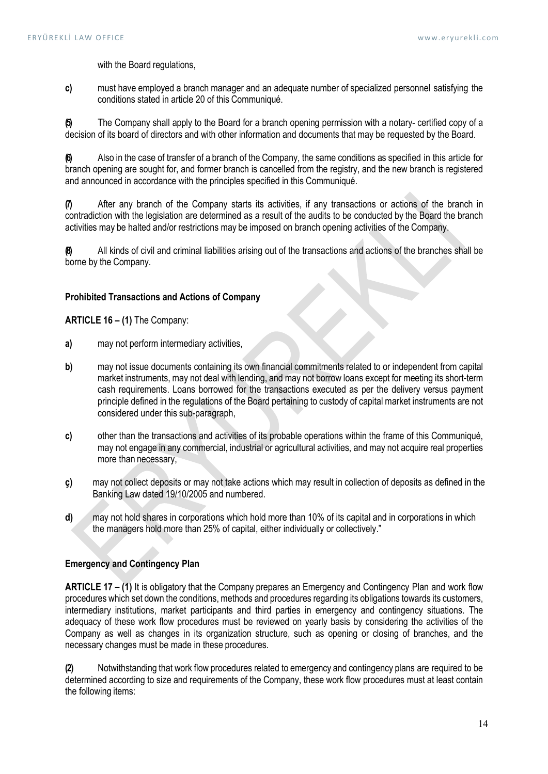with the Board regulations,

c) must have employed a branch manager and an adequate number of specialized personnel satisfying the conditions stated in article 20 of this Communiqué.

(5) The Company shall apply to the Board for a branch opening permission with a notary- certified copy of a decision of its board of directors and with other information and documents that may be requested by the Board.

(6) Also in the case of transfer of a branch of the Company, the same conditions as specified in this article for branch opening are sought for, and former branch is cancelled from the registry, and the new branch is registered and announced in accordance with the principles specified in this Communiqué.

(7) After any branch of the Company starts its activities, if any transactions or actions of the branch in contradiction with the legislation are determined as a result of the audits to be conducted by the Board the branch activities may be halted and/or restrictions may be imposed on branch opening activities of the Company.

(8) All kinds of civil and criminal liabilities arising out of the transactions and actions of the branches shall be borne by the Company.

### Prohibited Transactions and Actions of Company

ARTICLE 16 – (1) The Company:

- a) may not perform intermediary activities,
- b) may not issue documents containing its own financial commitments related to or independent from capital market instruments, may not deal with lending, and may not borrow loans except for meeting its short-term cash requirements. Loans borrowed for the transactions executed as per the delivery versus payment principle defined in the regulations of the Board pertaining to custody of capital market instruments are not considered under this sub-paragraph,
- c) other than the transactions and activities of its probable operations within the frame of this Communiqué, may not engage in any commercial, industrial or agricultural activities, and may not acquire real properties more than necessary,
- ç) may not collect deposits or may not take actions which may result in collection of deposits as defined in the Banking Law dated 19/10/2005 and numbered.
- d) may not hold shares in corporations which hold more than 10% of its capital and in corporations in which the managers hold more than 25% of capital, either individually or collectively."

## Emergency and Contingency Plan

ARTICLE 17 – (1) It is obligatory that the Company prepares an Emergency and Contingency Plan and work flow procedures which set down the conditions, methods and procedures regarding its obligations towards its customers, intermediary institutions, market participants and third parties in emergency and contingency situations. The adequacy of these work flow procedures must be reviewed on yearly basis by considering the activities of the Company as well as changes in its organization structure, such as opening or closing of branches, and the necessary changes must be made in these procedures.

(2) Notwithstanding that work flow procedures related to emergency and contingency plans are required to be determined according to size and requirements of the Company, these work flow procedures must at least contain the following items: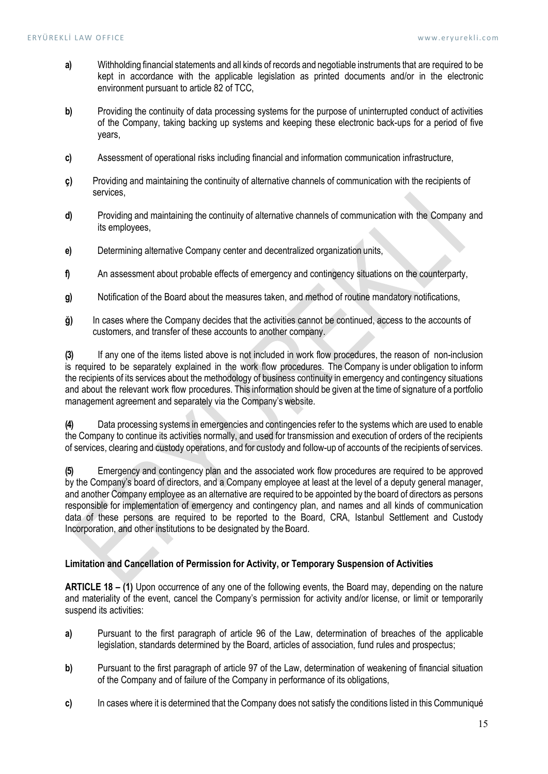- a) Withholding financial statements and all kinds of records and negotiable instruments that are required to be kept in accordance with the applicable legislation as printed documents and/or in the electronic environment pursuant to article 82 of TCC,
- b) Providing the continuity of data processing systems for the purpose of uninterrupted conduct of activities of the Company, taking backing up systems and keeping these electronic back-ups for a period of five years,
- c) Assessment of operational risks including financial and information communication infrastructure,
- ç) Providing and maintaining the continuity of alternative channels of communication with the recipients of services,
- d) Providing and maintaining the continuity of alternative channels of communication with the Company and its employees,
- e) Determining alternative Company center and decentralized organization units,
- f an assessment about probable effects of emergency and contingency situations on the counterparty,
- g) Notification of the Board about the measures taken, and method of routine mandatory notifications,
- ğ) In cases where the Company decides that the activities cannot be continued, access to the accounts of customers, and transfer of these accounts to another company.

(3) If any one of the items listed above is not included in work flow procedures, the reason of non-inclusion is required to be separately explained in the work flow procedures. The Company is under obligation to inform the recipients of its services about the methodology of business continuity in emergency and contingency situations and about the relevant work flow procedures. This information should be given at the time of signature of a portfolio management agreement and separately via the Company's website.

(4) Data processing systems in emergencies and contingencies refer to the systems which are used to enable the Company to continue its activities normally, and used for transmission and execution of orders of the recipients of services, clearing and custody operations, and for custody and follow-up of accounts of the recipients of services.

(5) Emergency and contingency plan and the associated work flow procedures are required to be approved by the Company's board of directors, and a Company employee at least at the level of a deputy general manager, and another Company employee as an alternative are required to be appointed by the board of directors as persons responsible for implementation of emergency and contingency plan, and names and all kinds of communication data of these persons are required to be reported to the Board, CRA, Istanbul Settlement and Custody Incorporation, and other institutions to be designated by the Board.

### Limitation and Cancellation of Permission for Activity, or Temporary Suspension of Activities

ARTICLE 18 – (1) Upon occurrence of any one of the following events, the Board may, depending on the nature and materiality of the event, cancel the Company's permission for activity and/or license, or limit or temporarily suspend its activities:

- a) Pursuant to the first paragraph of article 96 of the Law, determination of breaches of the applicable legislation, standards determined by the Board, articles of association, fund rules and prospectus;
- b) Pursuant to the first paragraph of article 97 of the Law, determination of weakening of financial situation of the Company and of failure of the Company in performance of its obligations,
- c) In cases where it is determined that the Company does not satisfy the conditions listed in this Communiqué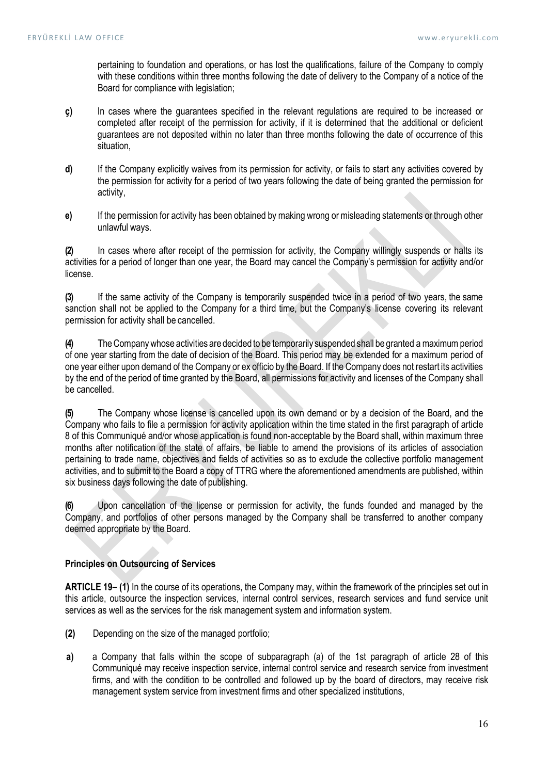pertaining to foundation and operations, or has lost the qualifications, failure of the Company to comply with these conditions within three months following the date of delivery to the Company of a notice of the Board for compliance with legislation;

- ç) In cases where the guarantees specified in the relevant regulations are required to be increased or completed after receipt of the permission for activity, if it is determined that the additional or deficient guarantees are not deposited within no later than three months following the date of occurrence of this situation,
- d) If the Company explicitly waives from its permission for activity, or fails to start any activities covered by the permission for activity for a period of two years following the date of being granted the permission for activity,
- e) If the permission for activity has been obtained by making wrong or misleading statements or through other unlawful ways.

(2) In cases where after receipt of the permission for activity, the Company willingly suspends or halts its activities for a period of longer than one year, the Board may cancel the Company's permission for activity and/or license.

(3) If the same activity of the Company is temporarily suspended twice in a period of two years, the same sanction shall not be applied to the Company for a third time, but the Company's license covering its relevant permission for activity shall be cancelled.

(4) The Company whose activities are decided to be temporarily suspended shall be granted a maximum period of one year starting from the date of decision of the Board. This period may be extended for a maximum period of one year either upon demand of the Company or ex officio by the Board. If the Company does not restart its activities by the end of the period of time granted by the Board, all permissions for activity and licenses of the Company shall be cancelled.

(5) The Company whose license is cancelled upon its own demand or by a decision of the Board, and the Company who fails to file a permission for activity application within the time stated in the first paragraph of article 8 of this Communiqué and/or whose application is found non-acceptable by the Board shall, within maximum three months after notification of the state of affairs, be liable to amend the provisions of its articles of association pertaining to trade name, objectives and fields of activities so as to exclude the collective portfolio management activities, and to submit to the Board a copy of TTRG where the aforementioned amendments are published, within six business days following the date of publishing.

(6) Upon cancellation of the license or permission for activity, the funds founded and managed by the Company, and portfolios of other persons managed by the Company shall be transferred to another company deemed appropriate by the Board.

# Principles on Outsourcing of Services

ARTICLE 19– (1) In the course of its operations, the Company may, within the framework of the principles set out in this article, outsource the inspection services, internal control services, research services and fund service unit services as well as the services for the risk management system and information system.

- (2) Depending on the size of the managed portfolio;
- a) a Company that falls within the scope of subparagraph (a) of the 1st paragraph of article 28 of this Communiqué may receive inspection service, internal control service and research service from investment firms, and with the condition to be controlled and followed up by the board of directors, may receive risk management system service from investment firms and other specialized institutions,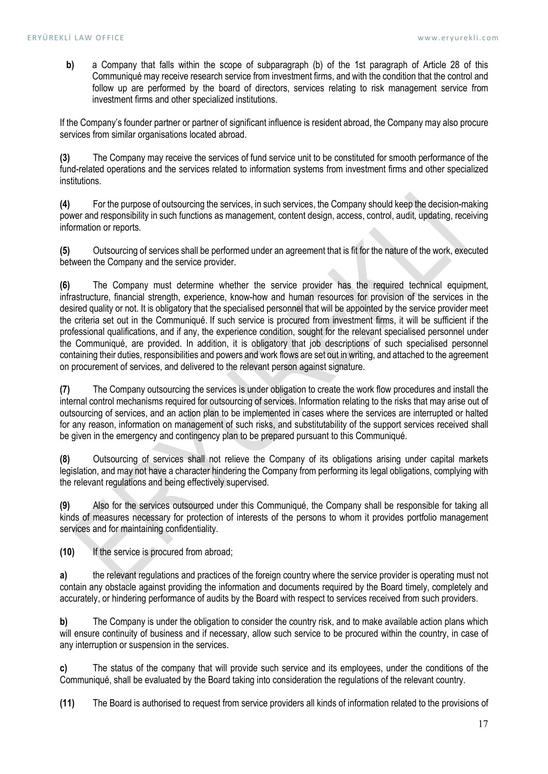b) a Company that falls within the scope of subparagraph (b) of the 1st paragraph of Article 28 of this Communiqué may receive research service from investment firms, and with the condition that the control and follow up are performed by the board of directors, services relating to risk management service from investment firms and other specialized institutions.

If the Company's founder partner or partner of significant influence is resident abroad, the Company may also procure services from similar organisations located abroad.

(3) The Company may receive the services of fund service unit to be constituted for smooth performance of the fund-related operations and the services related to information systems from investment firms and other specialized institutions.

(4) For the purpose of outsourcing the services, in such services, the Company should keep the decision-making power and responsibility in such functions as management, content design, access, control, audit, updating, receiving information or reports.

(5) Outsourcing of services shall be performed under an agreement that is fit for the nature of the work, executed between the Company and the service provider.

(6) The Company must determine whether the service provider has the required technical equipment, infrastructure, financial strength, experience, know-how and human resources for provision of the services in the desired quality or not. It is obligatory that the specialised personnel that will be appointed by the service provider meet the criteria set out in the Communiqué. If such service is procured from investment firms, it will be sufficient if the professional qualifications, and if any, the experience condition, sought for the relevant specialised personnel under the Communiqué, are provided. In addition, it is obligatory that job descriptions of such specialised personnel containing their duties, responsibilities and powers and work flows are set out in writing, and attached to the agreement on procurement of services, and delivered to the relevant person against signature.

(7) The Company outsourcing the services is under obligation to create the work flow procedures and install the internal control mechanisms required for outsourcing of services. Information relating to the risks that may arise out of outsourcing of services, and an action plan to be implemented in cases where the services are interrupted or halted for any reason, information on management of such risks, and substitutability of the support services received shall be given in the emergency and contingency plan to be prepared pursuant to this Communiqué.

(8) Outsourcing of services shall not relieve the Company of its obligations arising under capital markets legislation, and may not have a character hindering the Company from performing its legal obligations, complying with the relevant regulations and being effectively supervised.

(9) Also for the services outsourced under this Communiqué, the Company shall be responsible for taking all kinds of measures necessary for protection of interests of the persons to whom it provides portfolio management services and for maintaining confidentiality.

(10) If the service is procured from abroad;

a) the relevant regulations and practices of the foreign country where the service provider is operating must not contain any obstacle against providing the information and documents required by the Board timely, completely and accurately, or hindering performance of audits by the Board with respect to services received from such providers.

b) The Company is under the obligation to consider the country risk, and to make available action plans which will ensure continuity of business and if necessary, allow such service to be procured within the country, in case of any interruption or suspension in the services.

c) The status of the company that will provide such service and its employees, under the conditions of the Communiqué, shall be evaluated by the Board taking into consideration the regulations of the relevant country.

(11) The Board is authorised to request from service providers all kinds of information related to the provisions of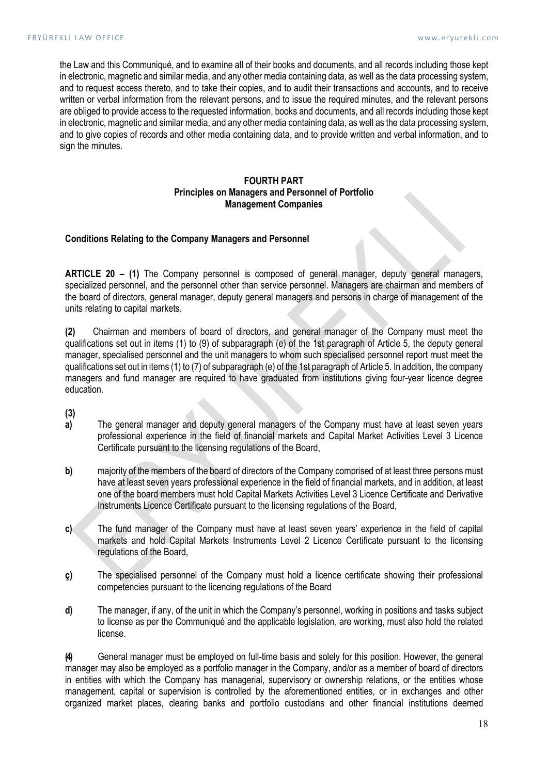the Law and this Communiqué, and to examine all of their books and documents, and all records including those kept in electronic, magnetic and similar media, and any other media containing data, as well as the data processing system, and to request access thereto, and to take their copies, and to audit their transactions and accounts, and to receive written or verbal information from the relevant persons, and to issue the required minutes, and the relevant persons are obliged to provide access to the requested information, books and documents, and all records including those kept in electronic, magnetic and similar media, and any other media containing data, as well as the data processing system, and to give copies of records and other media containing data, and to provide written and verbal information, and to sign the minutes.

# FOURTH PART Principles on Managers and Personnel of Portfolio Management Companies

### Conditions Relating to the Company Managers and Personnel

ARTICLE 20 – (1) The Company personnel is composed of general manager, deputy general managers, specialized personnel, and the personnel other than service personnel. Managers are chairman and members of the board of directors, general manager, deputy general managers and persons in charge of management of the units relating to capital markets.

(2) Chairman and members of board of directors, and general manager of the Company must meet the qualifications set out in items (1) to (9) of subparagraph (e) of the 1st paragraph of Article 5, the deputy general manager, specialised personnel and the unit managers to whom such specialised personnel report must meet the qualifications set out in items (1) to (7) of subparagraph (e) of the 1st paragraph of Article 5. In addition, the company managers and fund manager are required to have graduated from institutions giving four-year licence degree education.

(3)

- a) The general manager and deputy general managers of the Company must have at least seven years professional experience in the field of financial markets and Capital Market Activities Level 3 Licence Certificate pursuant to the licensing regulations of the Board,
- b) maiority of the members of the board of directors of the Company comprised of at least three persons must have at least seven years professional experience in the field of financial markets, and in addition, at least one of the board members must hold Capital Markets Activities Level 3 Licence Certificate and Derivative Instruments Licence Certificate pursuant to the licensing regulations of the Board,
- c) The fund manager of the Company must have at least seven years' experience in the field of capital markets and hold Capital Markets Instruments Level 2 Licence Certificate pursuant to the licensing regulations of the Board,
- ç) The specialised personnel of the Company must hold a licence certificate showing their professional competencies pursuant to the licencing regulations of the Board
- d) The manager, if any, of the unit in which the Company's personnel, working in positions and tasks subject to license as per the Communiqué and the applicable legislation, are working, must also hold the related license.

(4) General manager must be employed on full-time basis and solely for this position. However, the general manager may also be employed as a portfolio manager in the Company, and/or as a member of board of directors in entities with which the Company has managerial, supervisory or ownership relations, or the entities whose management, capital or supervision is controlled by the aforementioned entities, or in exchanges and other organized market places, clearing banks and portfolio custodians and other financial institutions deemed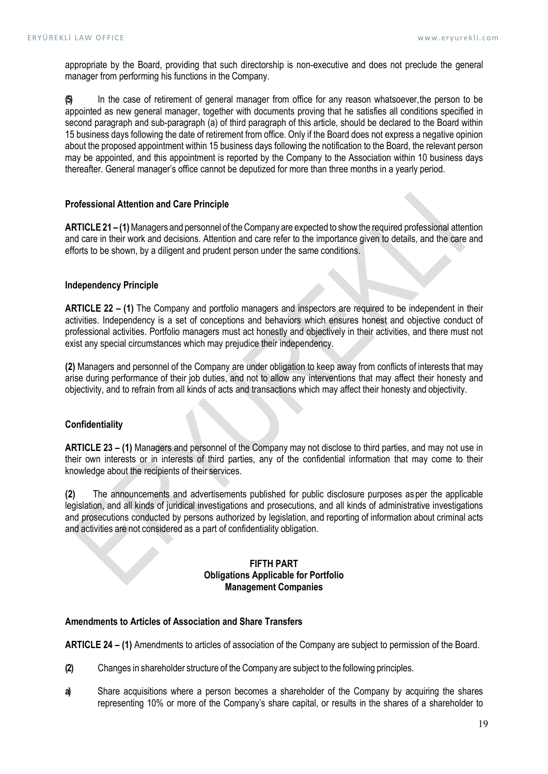appropriate by the Board, providing that such directorship is non-executive and does not preclude the general manager from performing his functions in the Company.

(5) In the case of retirement of general manager from office for any reason whatsoever, the person to be appointed as new general manager, together with documents proving that he satisfies all conditions specified in second paragraph and sub-paragraph (a) of third paragraph of this article, should be declared to the Board within 15 business days following the date of retirement from office. Only if the Board does not express a negative opinion about the proposed appointment within 15 business days following the notification to the Board, the relevant person may be appointed, and this appointment is reported by the Company to the Association within 10 business days thereafter. General manager's office cannot be deputized for more than three months in a yearly period.

# Professional Attention and Care Principle

ARTICLE 21 – (1) Managers and personnel of the Company are expected to show the required professional attention and care in their work and decisions. Attention and care refer to the importance given to details, and the care and efforts to be shown, by a diligent and prudent person under the same conditions.

### Independency Principle

ARTICLE 22 – (1) The Company and portfolio managers and inspectors are required to be independent in their activities. Independency is a set of conceptions and behaviors which ensures honest and objective conduct of professional activities. Portfolio managers must act honestly and objectively in their activities, and there must not exist any special circumstances which may prejudice their independency.

(2) Managers and personnel of the Company are under obligation to keep away from conflicts of interests that may arise during performance of their job duties, and not to allow any interventions that may affect their honesty and objectivity, and to refrain from all kinds of acts and transactions which may affect their honesty and objectivity.

# **Confidentiality**

ARTICLE 23 – (1) Managers and personnel of the Company may not disclose to third parties, and may not use in their own interests or in interests of third parties, any of the confidential information that may come to their knowledge about the recipients of their services.

(2) The announcements and advertisements published for public disclosure purposes as per the applicable legislation, and all kinds of juridical investigations and prosecutions, and all kinds of administrative investigations and prosecutions conducted by persons authorized by legislation, and reporting of information about criminal acts and activities are not considered as a part of confidentiality obligation.

## FIFTH PART Obligations Applicable for Portfolio Management Companies

### Amendments to Articles of Association and Share Transfers

ARTICLE 24 – (1) Amendments to articles of association of the Company are subject to permission of the Board.

- (2) Changes in shareholder structure of the Company are subject to the following principles.
- a) Share acquisitions where a person becomes a shareholder of the Company by acquiring the shares representing 10% or more of the Company's share capital, or results in the shares of a shareholder to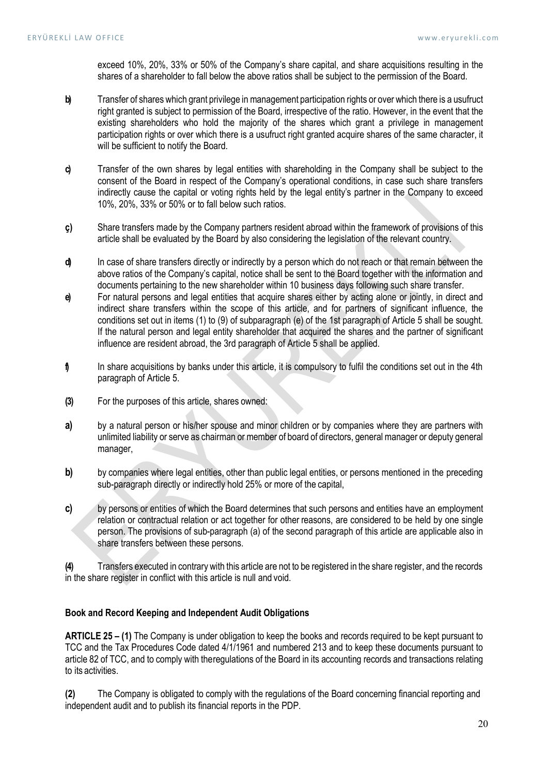exceed 10%, 20%, 33% or 50% of the Company's share capital, and share acquisitions resulting in the shares of a shareholder to fall below the above ratios shall be subject to the permission of the Board.

- b) Transfer of shares which grant privilege in management participation rights or over which there is a usufruct right granted is subject to permission of the Board, irrespective of the ratio. However, in the event that the existing shareholders who hold the majority of the shares which grant a privilege in management participation rights or over which there is a usufruct right granted acquire shares of the same character, it will be sufficient to notify the Board.
- c) Transfer of the own shares by legal entities with shareholding in the Company shall be subject to the consent of the Board in respect of the Company's operational conditions, in case such share transfers indirectly cause the capital or voting rights held by the legal entity's partner in the Company to exceed 10%, 20%, 33% or 50% or to fall below such ratios.
- ç) Share transfers made by the Company partners resident abroad within the framework of provisions of this article shall be evaluated by the Board by also considering the legislation of the relevant country.
- d) In case of share transfers directly or indirectly by a person which do not reach or that remain between the above ratios of the Company's capital, notice shall be sent to the Board together with the information and documents pertaining to the new shareholder within 10 business days following such share transfer.
- e) For natural persons and legal entities that acquire shares either by acting alone or jointly, in direct and indirect share transfers within the scope of this article, and for partners of significant influence, the conditions set out in items (1) to (9) of subparagraph (e) of the 1st paragraph of Article 5 shall be sought. If the natural person and legal entity shareholder that acquired the shares and the partner of significant influence are resident abroad, the 3rd paragraph of Article 5 shall be applied.
- f) In share acquisitions by banks under this article, it is compulsory to fulfil the conditions set out in the 4th paragraph of Article 5.
- (3) For the purposes of this article, shares owned:
- a) by a natural person or his/her spouse and minor children or by companies where they are partners with unlimited liability or serve as chairman or member of board of directors, general manager or deputy general manager,
- b) by companies where legal entities, other than public legal entities, or persons mentioned in the preceding sub-paragraph directly or indirectly hold 25% or more of the capital,
- c) by persons or entities of which the Board determines that such persons and entities have an employment relation or contractual relation or act together for other reasons, are considered to be held by one single person. The provisions of sub-paragraph (a) of the second paragraph of this article are applicable also in share transfers between these persons.

(4) Transfers executed in contrary with this article are not to be registered in the share register, and the records in the share register in conflict with this article is null and void.

# Book and Record Keeping and Independent Audit Obligations

ARTICLE 25 – (1) The Company is under obligation to keep the books and records required to be kept pursuant to TCC and the Tax Procedures Code dated 4/1/1961 and numbered 213 and to keep these documents pursuant to article 82 of TCC, and to comply with the regulations of the Board in its accounting records and transactions relating to its activities.

(2) The Company is obligated to comply with the regulations of the Board concerning financial reporting and independent audit and to publish its financial reports in the PDP.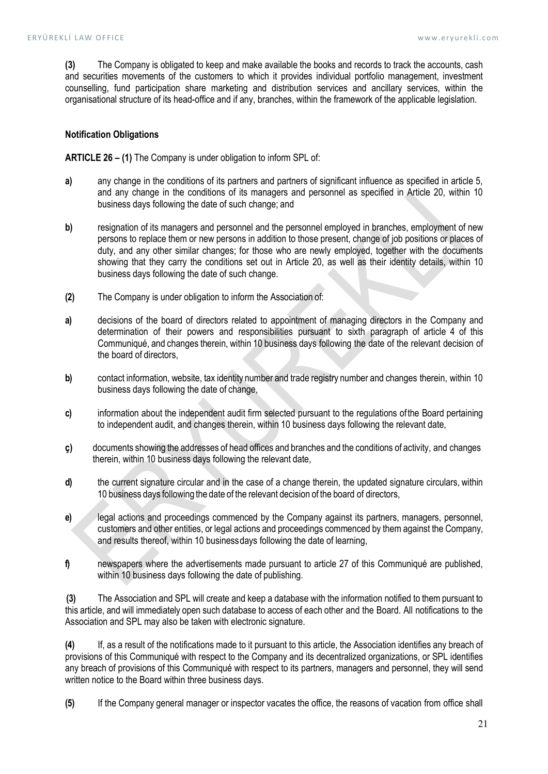(3) The Company is obligated to keep and make available the books and records to track the accounts, cash and securities movements of the customers to which it provides individual portfolio management, investment counselling, fund participation share marketing and distribution services and ancillary services, within the organisational structure of its head-office and if any, branches, within the framework of the applicable legislation.

# Notification Obligations

ARTICLE 26 – (1) The Company is under obligation to inform SPL of:

- a) any change in the conditions of its partners and partners of significant influence as specified in article 5, and any change in the conditions of its managers and personnel as specified in Article 20, within 10 business days following the date of such change; and
- b) resignation of its managers and personnel and the personnel employed in branches, employment of new persons to replace them or new persons in addition to those present, change of job positions or places of duty, and any other similar changes; for those who are newly employed, together with the documents showing that they carry the conditions set out in Article 20, as well as their identity details, within 10 business days following the date of such change.
- (2) The Company is under obligation to inform the Association of:
- a) decisions of the board of directors related to appointment of managing directors in the Company and determination of their powers and responsibilities pursuant to sixth paragraph of article 4 of this Communiqué, and changes therein, within 10 business days following the date of the relevant decision of the board of directors,
- b) contact information, website, tax identity number and trade registry number and changes therein, within 10 business days following the date of change,
- c) information about the independent audit firm selected pursuant to the regulations of the Board pertaining to independent audit, and changes therein, within 10 business days following the relevant date,
- ç) documents showing the addresses of head offices and branches and the conditions of activity, and changes therein, within 10 business days following the relevant date,
- d) the current signature circular and in the case of a change therein, the updated signature circulars, within 10 business days following the date of the relevant decision of the board of directors,
- e) legal actions and proceedings commenced by the Company against its partners, managers, personnel, customers and other entities, or legal actions and proceedings commenced by them against the Company, and results thereof, within 10 business days following the date of learning,
- f) newspapers where the advertisements made pursuant to article 27 of this Communiqué are published, within 10 business days following the date of publishing.

(3) The Association and SPL will create and keep a database with the information notified to them pursuant to this article, and will immediately open such database to access of each other and the Board. All notifications to the Association and SPL may also be taken with electronic signature.

(4) If, as a result of the notifications made to it pursuant to this article, the Association identifies any breach of provisions of this Communiqué with respect to the Company and its decentralized organizations, or SPL identifies any breach of provisions of this Communiqué with respect to its partners, managers and personnel, they will send written notice to the Board within three business days.

(5) If the Company general manager or inspector vacates the office, the reasons of vacation from office shall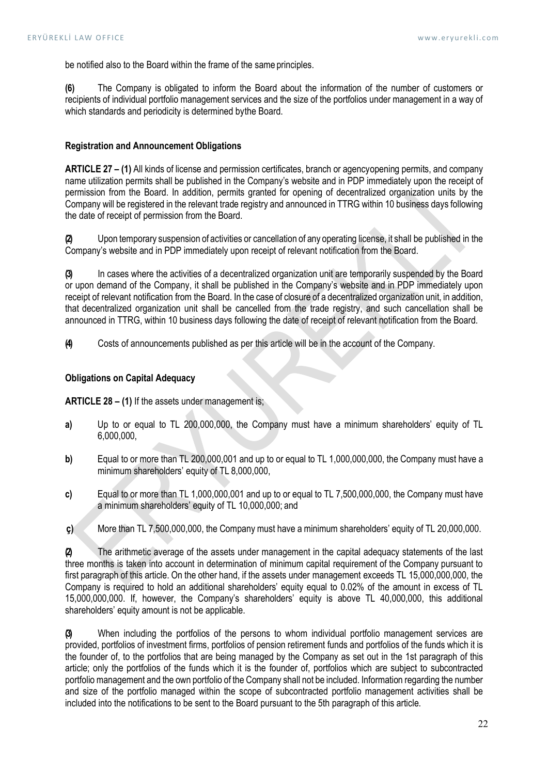be notified also to the Board within the frame of the same principles.

(6) The Company is obligated to inform the Board about the information of the number of customers or recipients of individual portfolio management services and the size of the portfolios under management in a way of which standards and periodicity is determined by the Board.

# Registration and Announcement Obligations

ARTICLE 27 – (1) All kinds of license and permission certificates, branch or agency opening permits, and company name utilization permits shall be published in the Company's website and in PDP immediately upon the receipt of permission from the Board. In addition, permits granted for opening of decentralized organization units by the Company will be registered in the relevant trade registry and announced in TTRG within 10 business days following the date of receipt of permission from the Board.

(2) Upon temporary suspension of activities or cancellation of any operating license, it shall be published in the Company's website and in PDP immediately upon receipt of relevant notification from the Board.

(3) In cases where the activities of a decentralized organization unit are temporarily suspended by the Board or upon demand of the Company, it shall be published in the Company's website and in PDP immediately upon receipt of relevant notification from the Board. In the case of closure of a decentralized organization unit, in addition, that decentralized organization unit shall be cancelled from the trade registry, and such cancellation shall be announced in TTRG, within 10 business days following the date of receipt of relevant notification from the Board.

(4) Costs of announcements published as per this article will be in the account of the Company.

# Obligations on Capital Adequacy

ARTICLE 28 – (1) If the assets under management is;

- a) Up to or equal to TL 200,000,000, the Company must have a minimum shareholders' equity of TL 6,000,000,
- b) Equal to or more than TL 200,000,001 and up to or equal to TL 1,000,000,000, the Company must have a minimum shareholders' equity of TL 8,000,000,
- c) Equal to or more than TL 1,000,000,001 and up to or equal to TL 7,500,000,000, the Company must have a minimum shareholders' equity of TL 10,000,000; and
- ç) More than TL 7,500,000,000, the Company must have a minimum shareholders' equity of TL 20,000,000.

(2) The arithmetic average of the assets under management in the capital adequacy statements of the last three months is taken into account in determination of minimum capital requirement of the Company pursuant to first paragraph of this article. On the other hand, if the assets under management exceeds TL 15,000,000,000, the Company is required to hold an additional shareholders' equity equal to 0.02% of the amount in excess of TL 15,000,000,000. If, however, the Company's shareholders' equity is above TL 40,000,000, this additional shareholders' equity amount is not be applicable.

(3) When including the portfolios of the persons to whom individual portfolio management services are provided, portfolios of investment firms, portfolios of pension retirement funds and portfolios of the funds which it is the founder of, to the portfolios that are being managed by the Company as set out in the 1st paragraph of this article; only the portfolios of the funds which it is the founder of, portfolios which are subject to subcontracted portfolio management and the own portfolio of the Company shall not be included. Information regarding the number and size of the portfolio managed within the scope of subcontracted portfolio management activities shall be included into the notifications to be sent to the Board pursuant to the 5th paragraph of this article.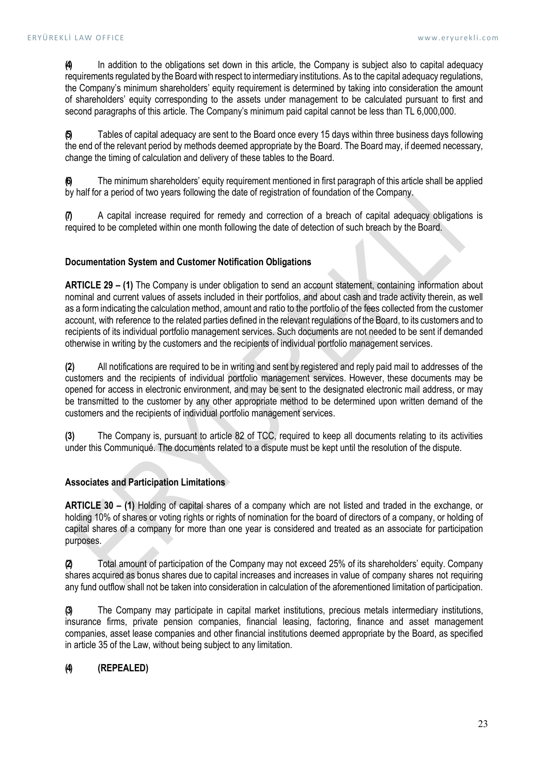(4) In addition to the obligations set down in this article, the Company is subject also to capital adequacy requirements regulated by the Board with respect to intermediary institutions. As to the capital adequacy regulations, the Company's minimum shareholders' equity requirement is determined by taking into consideration the amount of shareholders' equity corresponding to the assets under management to be calculated pursuant to first and second paragraphs of this article. The Company's minimum paid capital cannot be less than TL 6,000,000.

(5) Tables of capital adequacy are sent to the Board once every 15 days within three business days following the end of the relevant period by methods deemed appropriate by the Board. The Board may, if deemed necessary, change the timing of calculation and delivery of these tables to the Board.

The minimum shareholders' equity requirement mentioned in first paragraph of this article shall be applied by half for a period of two years following the date of registration of foundation of the Company.

(7) A capital increase required for remedy and correction of a breach of capital adequacy obligations is required to be completed within one month following the date of detection of such breach by the Board.

# Documentation System and Customer Notification Obligations

ARTICLE 29 – (1) The Company is under obligation to send an account statement, containing information about nominal and current values of assets included in their portfolios, and about cash and trade activity therein, as well as a form indicating the calculation method, amount and ratio to the portfolio of the fees collected from the customer account, with reference to the related parties defined in the relevant regulations of the Board, to its customers and to recipients of its individual portfolio management services. Such documents are not needed to be sent if demanded otherwise in writing by the customers and the recipients of individual portfolio management services.

(2) All notifications are required to be in writing and sent by registered and reply paid mail to addresses of the customers and the recipients of individual portfolio management services. However, these documents may be opened for access in electronic environment, and may be sent to the designated electronic mail address, or may be transmitted to the customer by any other appropriate method to be determined upon written demand of the customers and the recipients of individual portfolio management services.

(3) The Company is, pursuant to article 82 of TCC, required to keep all documents relating to its activities under this Communiqué. The documents related to a dispute must be kept until the resolution of the dispute.

### Associates and Participation Limitations

ARTICLE 30 – (1) Holding of capital shares of a company which are not listed and traded in the exchange, or holding 10% of shares or voting rights or rights of nomination for the board of directors of a company, or holding of capital shares of a company for more than one year is considered and treated as an associate for participation purposes.

(2) Total amount of participation of the Company may not exceed 25% of its shareholders' equity. Company shares acquired as bonus shares due to capital increases and increases in value of company shares not requiring any fund outflow shall not be taken into consideration in calculation of the aforementioned limitation of participation.

(3) The Company may participate in capital market institutions, precious metals intermediary institutions, insurance firms, private pension companies, financial leasing, factoring, finance and asset management companies, asset lease companies and other financial institutions deemed appropriate by the Board, as specified in article 35 of the Law, without being subject to any limitation.

# (4) (REPEALED)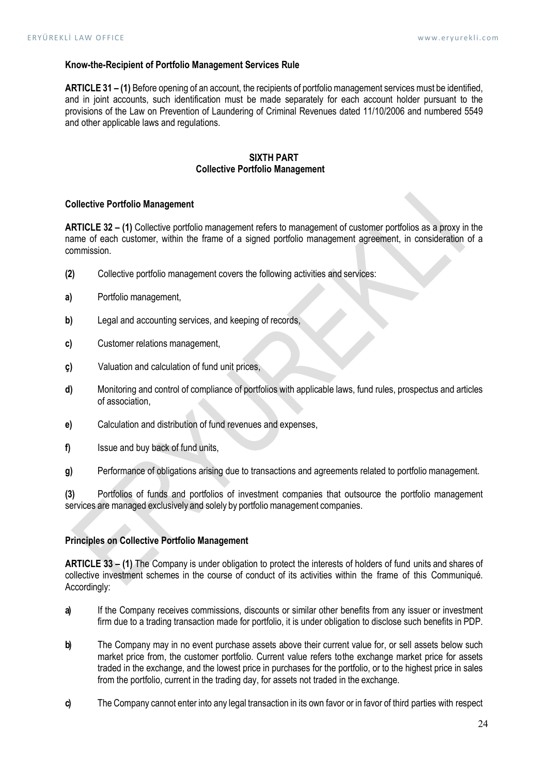### Know-the-Recipient of Portfolio Management Services Rule

ARTICLE 31 – (1) Before opening of an account, the recipients of portfolio management services must be identified, and in joint accounts, such identification must be made separately for each account holder pursuant to the provisions of the Law on Prevention of Laundering of Criminal Revenues dated 11/10/2006 and numbered 5549 and other applicable laws and regulations.

### SIXTH PART Collective Portfolio Management

### Collective Portfolio Management

ARTICLE 32 – (1) Collective portfolio management refers to management of customer portfolios as a proxy in the name of each customer, within the frame of a signed portfolio management agreement, in consideration of a commission.

- (2) Collective portfolio management covers the following activities and services:
- a) Portfolio management,
- b) Legal and accounting services, and keeping of records,
- c) Customer relations management,
- ç) Valuation and calculation of fund unit prices,
- d) Monitoring and control of compliance of portfolios with applicable laws, fund rules, prospectus and articles of association,
- e) Calculation and distribution of fund revenues and expenses,
- f) Issue and buy back of fund units,
- g) Performance of obligations arising due to transactions and agreements related to portfolio management.

(3) Portfolios of funds and portfolios of investment companies that outsource the portfolio management services are managed exclusively and solely by portfolio management companies.

### Principles on Collective Portfolio Management

ARTICLE 33 – (1) The Company is under obligation to protect the interests of holders of fund units and shares of collective investment schemes in the course of conduct of its activities within the frame of this Communiqué. Accordingly:

- a) If the Company receives commissions, discounts or similar other benefits from any issuer or investment firm due to a trading transaction made for portfolio, it is under obligation to disclose such benefits in PDP.
- b) The Company may in no event purchase assets above their current value for, or sell assets below such market price from, the customer portfolio. Current value refers to the exchange market price for assets traded in the exchange, and the lowest price in purchases for the portfolio, or to the highest price in sales from the portfolio, current in the trading day, for assets not traded in the exchange.
- c) The Company cannot enter into any legal transaction in its own favor or in favor of third parties with respect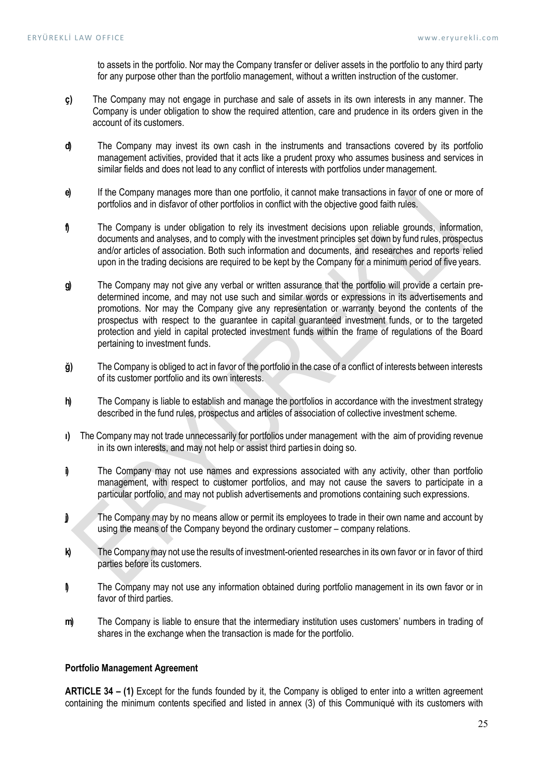to assets in the portfolio. Nor may the Company transfer or deliver assets in the portfolio to any third party for any purpose other than the portfolio management, without a written instruction of the customer.

- ç) The Company may not engage in purchase and sale of assets in its own interests in any manner. The Company is under obligation to show the required attention, care and prudence in its orders given in the account of its customers.
- d) The Company may invest its own cash in the instruments and transactions covered by its portfolio management activities, provided that it acts like a prudent proxy who assumes business and services in similar fields and does not lead to any conflict of interests with portfolios under management.
- e) If the Company manages more than one portfolio, it cannot make transactions in favor of one or more of portfolios and in disfavor of other portfolios in conflict with the objective good faith rules.
- f The Company is under obligation to rely its investment decisions upon reliable grounds, information, documents and analyses, and to comply with the investment principles set down by fund rules, prospectus and/or articles of association. Both such information and documents, and researches and reports relied upon in the trading decisions are required to be kept by the Company for a minimum period of five years.
- g) The Company may not give any verbal or written assurance that the portfolio will provide a certain predetermined income, and may not use such and similar words or expressions in its advertisements and promotions. Nor may the Company give any representation or warranty beyond the contents of the prospectus with respect to the guarantee in capital guaranteed investment funds, or to the targeted protection and yield in capital protected investment funds within the frame of regulations of the Board pertaining to investment funds.
- ğ) The Company is obliged to act in favor of the portfolio in the case of a conflict of interests between interests of its customer portfolio and its own interests.
- h) The Company is liable to establish and manage the portfolios in accordance with the investment strategy described in the fund rules, prospectus and articles of association of collective investment scheme.
- ı) The Company may not trade unnecessarily for portfolios under management with the aim of providing revenue in its own interests, and may not help or assist third parties in doing so.
- i) The Company may not use names and expressions associated with any activity, other than portfolio management, with respect to customer portfolios, and may not cause the savers to participate in a particular portfolio, and may not publish advertisements and promotions containing such expressions.
- j) The Company may by no means allow or permit its employees to trade in their own name and account by using the means of the Company beyond the ordinary customer – company relations.
- k) The Company may not use the results of investment-oriented researches in its own favor or in favor of third parties before its customers.
- l) The Company may not use any information obtained during portfolio management in its own favor or in favor of third parties.
- m) The Company is liable to ensure that the intermediary institution uses customers' numbers in trading of shares in the exchange when the transaction is made for the portfolio.

### Portfolio Management Agreement

ARTICLE 34 – (1) Except for the funds founded by it, the Company is obliged to enter into a written agreement containing the minimum contents specified and listed in annex (3) of this Communiqué with its customers with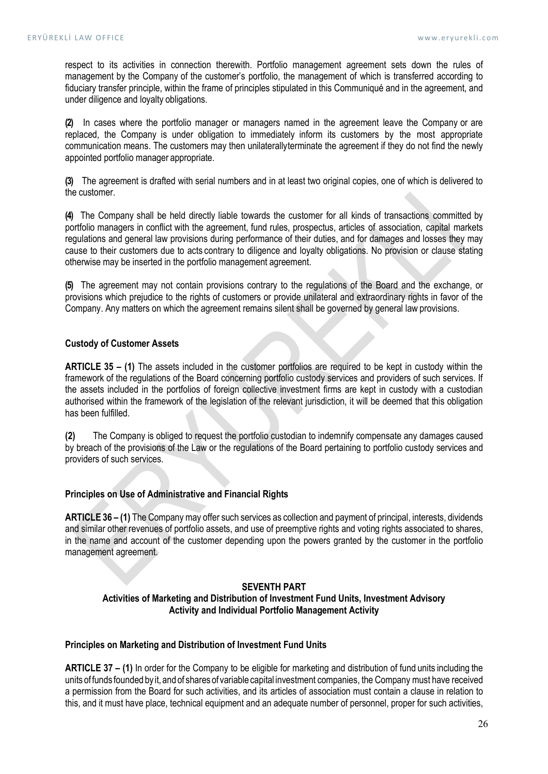respect to its activities in connection therewith. Portfolio management agreement sets down the rules of management by the Company of the customer's portfolio, the management of which is transferred according to fiduciary transfer principle, within the frame of principles stipulated in this Communiqué and in the agreement, and under diligence and loyalty obligations.

(2) In cases where the portfolio manager or managers named in the agreement leave the Company or are replaced, the Company is under obligation to immediately inform its customers by the most appropriate communication means. The customers may then unilaterally terminate the agreement if they do not find the newly appointed portfolio manager appropriate.

(3) The agreement is drafted with serial numbers and in at least two original copies, one of which is delivered to the customer.

(4) The Company shall be held directly liable towards the customer for all kinds of transactions committed by portfolio managers in conflict with the agreement, fund rules, prospectus, articles of association, capital markets regulations and general law provisions during performance of their duties, and for damages and losses they may cause to their customers due to acts contrary to diligence and loyalty obligations. No provision or clause stating otherwise may be inserted in the portfolio management agreement.

(5) The agreement may not contain provisions contrary to the regulations of the Board and the exchange, or provisions which prejudice to the rights of customers or provide unilateral and extraordinary rights in favor of the Company. Any matters on which the agreement remains silent shall be governed by general law provisions.

# Custody of Customer Assets

ARTICLE 35 – (1) The assets included in the customer portfolios are required to be kept in custody within the framework of the regulations of the Board concerning portfolio custody services and providers of such services. If the assets included in the portfolios of foreign collective investment firms are kept in custody with a custodian authorised within the framework of the legislation of the relevant jurisdiction, it will be deemed that this obligation has been fulfilled.

(2) The Company is obliged to request the portfolio custodian to indemnify compensate any damages caused by breach of the provisions of the Law or the regulations of the Board pertaining to portfolio custody services and providers of such services.

### Principles on Use of Administrative and Financial Rights

ARTICLE 36 – (1) The Company may offer such services as collection and payment of principal, interests, dividends and similar other revenues of portfolio assets, and use of preemptive rights and voting rights associated to shares, in the name and account of the customer depending upon the powers granted by the customer in the portfolio management agreement.

### SEVENTH PART

### Activities of Marketing and Distribution of Investment Fund Units, Investment Advisory Activity and Individual Portfolio Management Activity

### Principles on Marketing and Distribution of Investment Fund Units

ARTICLE 37 – (1) In order for the Company to be eligible for marketing and distribution of fund units including the units of funds founded by it, and of shares of variable capital investment companies, the Company must have received a permission from the Board for such activities, and its articles of association must contain a clause in relation to this, and it must have place, technical equipment and an adequate number of personnel, proper for such activities,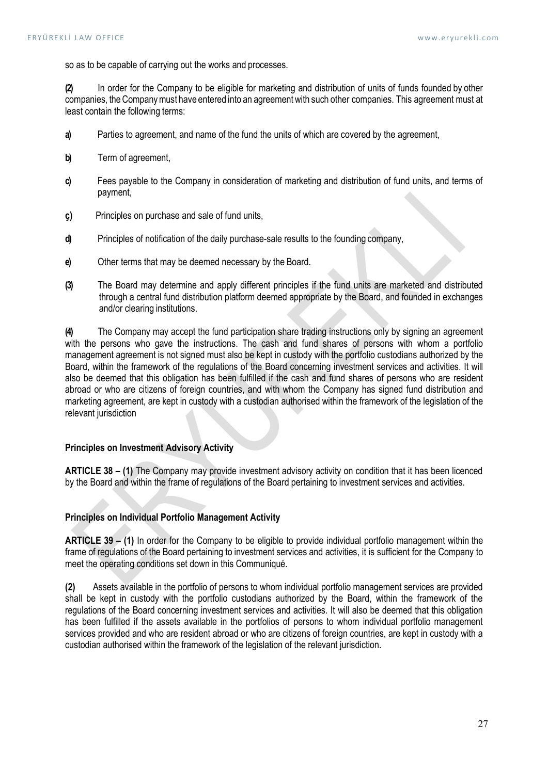so as to be capable of carrying out the works and processes.

(2) In order for the Company to be eligible for marketing and distribution of units of funds founded by other companies, the Company must have entered into an agreement with such other companies. This agreement must at least contain the following terms:

- a) Parties to agreement, and name of the fund the units of which are covered by the agreement,
- b) Term of agreement,
- c) Fees payable to the Company in consideration of marketing and distribution of fund units, and terms of payment,
- ç) Principles on purchase and sale of fund units,
- d) Principles of notification of the daily purchase-sale results to the founding company,
- e) Other terms that may be deemed necessary by the Board.
- (3) The Board may determine and apply different principles if the fund units are marketed and distributed through a central fund distribution platform deemed appropriate by the Board, and founded in exchanges and/or clearing institutions.

(4) The Company may accept the fund participation share trading instructions only by signing an agreement with the persons who gave the instructions. The cash and fund shares of persons with whom a portfolio management agreement is not signed must also be kept in custody with the portfolio custodians authorized by the Board, within the framework of the regulations of the Board concerning investment services and activities. It will also be deemed that this obligation has been fulfilled if the cash and fund shares of persons who are resident abroad or who are citizens of foreign countries, and with whom the Company has signed fund distribution and marketing agreement, are kept in custody with a custodian authorised within the framework of the legislation of the relevant jurisdiction

# Principles on Investment Advisory Activity

ARTICLE 38 – (1) The Company may provide investment advisory activity on condition that it has been licenced by the Board and within the frame of regulations of the Board pertaining to investment services and activities.

### Principles on Individual Portfolio Management Activity

ARTICLE 39 – (1) In order for the Company to be eligible to provide individual portfolio management within the frame of regulations of the Board pertaining to investment services and activities, it is sufficient for the Company to meet the operating conditions set down in this Communiqué.

(2) Assets available in the portfolio of persons to whom individual portfolio management services are provided shall be kept in custody with the portfolio custodians authorized by the Board, within the framework of the regulations of the Board concerning investment services and activities. It will also be deemed that this obligation has been fulfilled if the assets available in the portfolios of persons to whom individual portfolio management services provided and who are resident abroad or who are citizens of foreign countries, are kept in custody with a custodian authorised within the framework of the legislation of the relevant jurisdiction.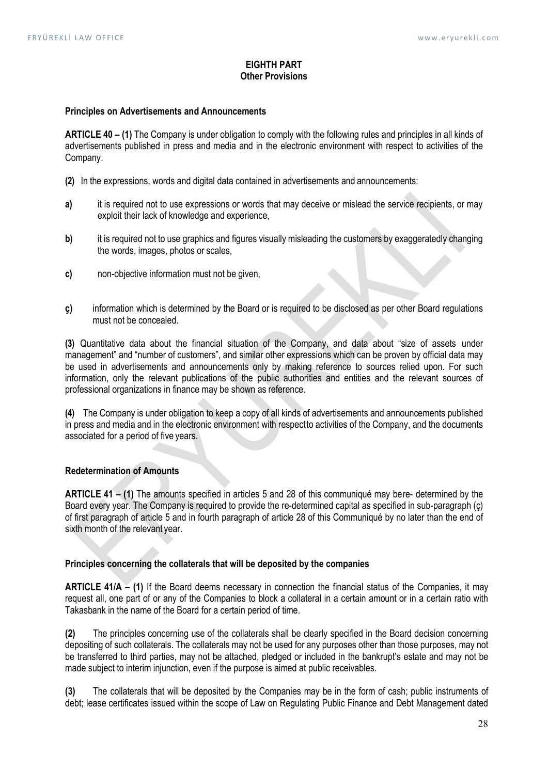## EIGHTH PART Other Provisions

#### Principles on Advertisements and Announcements

ARTICLE 40 – (1) The Company is under obligation to comply with the following rules and principles in all kinds of advertisements published in press and media and in the electronic environment with respect to activities of the Company.

- (2) In the expressions, words and digital data contained in advertisements and announcements:
- a) it is required not to use expressions or words that may deceive or mislead the service recipients, or may exploit their lack of knowledge and experience,
- b) it is required not to use graphics and figures visually misleading the customers by exaggeratedly changing the words, images, photos or scales,
- c) non-objective information must not be given,
- ç) information which is determined by the Board or is required to be disclosed as per other Board regulations must not be concealed.

(3) Quantitative data about the financial situation of the Company, and data about "size of assets under management" and "number of customers", and similar other expressions which can be proven by official data may be used in advertisements and announcements only by making reference to sources relied upon. For such information, only the relevant publications of the public authorities and entities and the relevant sources of professional organizations in finance may be shown as reference.

(4) The Company is under obligation to keep a copy of all kinds of advertisements and announcements published in press and media and in the electronic environment with respect to activities of the Company, and the documents associated for a period of five years.

# Redetermination of Amounts

ARTICLE 41 – (1) The amounts specified in articles 5 and 28 of this communiqué may bere- determined by the Board every year. The Company is required to provide the re-determined capital as specified in sub-paragraph (ç) of first paragraph of article 5 and in fourth paragraph of article 28 of this Communiqué by no later than the end of sixth month of the relevant year.

#### Principles concerning the collaterals that will be deposited by the companies

ARTICLE 41/A – (1) If the Board deems necessary in connection the financial status of the Companies, it may request all, one part of or any of the Companies to block a collateral in a certain amount or in a certain ratio with Takasbank in the name of the Board for a certain period of time.

(2) The principles concerning use of the collaterals shall be clearly specified in the Board decision concerning depositing of such collaterals. The collaterals may not be used for any purposes other than those purposes, may not be transferred to third parties, may not be attached, pledged or included in the bankrupt's estate and may not be made subject to interim injunction, even if the purpose is aimed at public receivables.

(3) The collaterals that will be deposited by the Companies may be in the form of cash; public instruments of debt; lease certificates issued within the scope of Law on Regulating Public Finance and Debt Management dated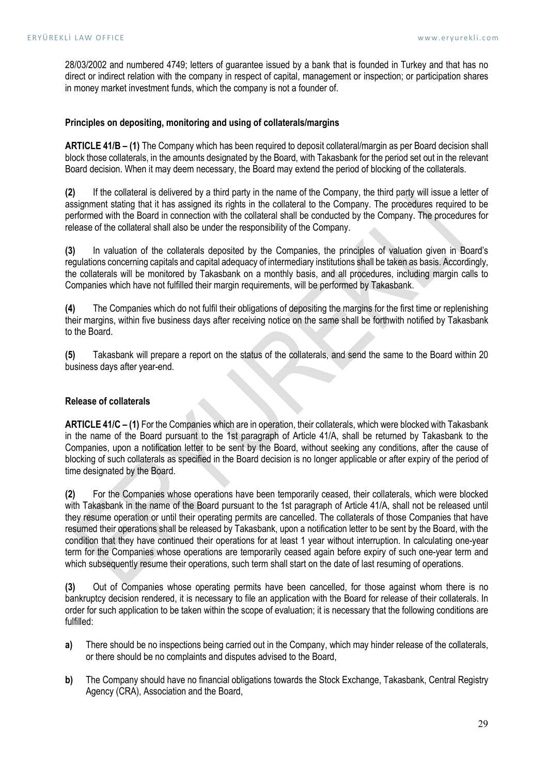28/03/2002 and numbered 4749; letters of guarantee issued by a bank that is founded in Turkey and that has no direct or indirect relation with the company in respect of capital, management or inspection; or participation shares in money market investment funds, which the company is not a founder of.

### Principles on depositing, monitoring and using of collaterals/margins

ARTICLE 41/B – (1) The Company which has been required to deposit collateral/margin as per Board decision shall block those collaterals, in the amounts designated by the Board, with Takasbank for the period set out in the relevant Board decision. When it may deem necessary, the Board may extend the period of blocking of the collaterals.

(2) If the collateral is delivered by a third party in the name of the Company, the third party will issue a letter of assignment stating that it has assigned its rights in the collateral to the Company. The procedures required to be performed with the Board in connection with the collateral shall be conducted by the Company. The procedures for release of the collateral shall also be under the responsibility of the Company.

(3) In valuation of the collaterals deposited by the Companies, the principles of valuation given in Board's regulations concerning capitals and capital adequacy of intermediary institutions shall be taken as basis. Accordingly, the collaterals will be monitored by Takasbank on a monthly basis, and all procedures, including margin calls to Companies which have not fulfilled their margin requirements, will be performed by Takasbank.

(4) The Companies which do not fulfil their obligations of depositing the margins for the first time or replenishing their margins, within five business days after receiving notice on the same shall be forthwith notified by Takasbank to the Board.

(5) Takasbank will prepare a report on the status of the collaterals, and send the same to the Board within 20 business days after year-end.

### Release of collaterals

ARTICLE 41/C – (1) For the Companies which are in operation, their collaterals, which were blocked with Takasbank in the name of the Board pursuant to the 1st paragraph of Article 41/A, shall be returned by Takasbank to the Companies, upon a notification letter to be sent by the Board, without seeking any conditions, after the cause of blocking of such collaterals as specified in the Board decision is no longer applicable or after expiry of the period of time designated by the Board.

(2) For the Companies whose operations have been temporarily ceased, their collaterals, which were blocked with Takasbank in the name of the Board pursuant to the 1st paragraph of Article 41/A, shall not be released until they resume operation or until their operating permits are cancelled. The collaterals of those Companies that have resumed their operations shall be released by Takasbank, upon a notification letter to be sent by the Board, with the condition that they have continued their operations for at least 1 year without interruption. In calculating one-year term for the Companies whose operations are temporarily ceased again before expiry of such one-year term and which subsequently resume their operations, such term shall start on the date of last resuming of operations.

(3) Out of Companies whose operating permits have been cancelled, for those against whom there is no bankruptcy decision rendered, it is necessary to file an application with the Board for release of their collaterals. In order for such application to be taken within the scope of evaluation; it is necessary that the following conditions are fulfilled:

- a) There should be no inspections being carried out in the Company, which may hinder release of the collaterals, or there should be no complaints and disputes advised to the Board,
- b) The Company should have no financial obligations towards the Stock Exchange, Takasbank, Central Registry Agency (CRA), Association and the Board,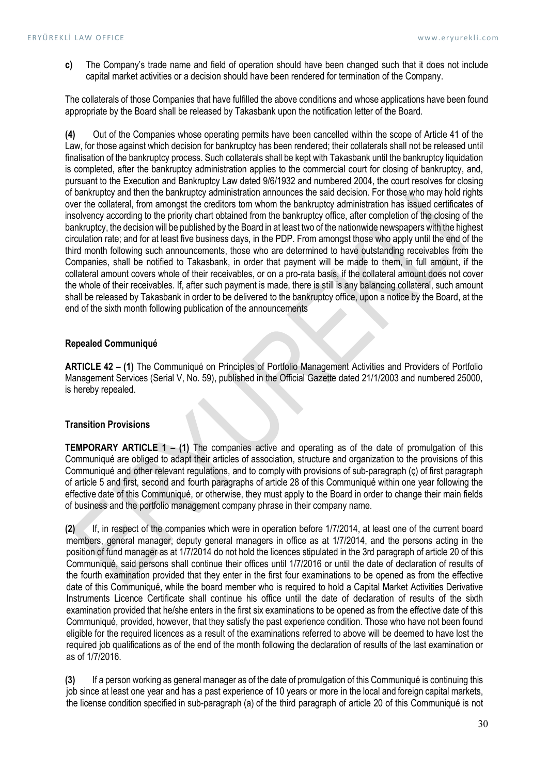c) The Company's trade name and field of operation should have been changed such that it does not include capital market activities or a decision should have been rendered for termination of the Company.

The collaterals of those Companies that have fulfilled the above conditions and whose applications have been found appropriate by the Board shall be released by Takasbank upon the notification letter of the Board.

(4) Out of the Companies whose operating permits have been cancelled within the scope of Article 41 of the Law, for those against which decision for bankruptcy has been rendered; their collaterals shall not be released until finalisation of the bankruptcy process. Such collaterals shall be kept with Takasbank until the bankruptcy liquidation is completed, after the bankruptcy administration applies to the commercial court for closing of bankruptcy, and, pursuant to the Execution and Bankruptcy Law dated 9/6/1932 and numbered 2004, the court resolves for closing of bankruptcy and then the bankruptcy administration announces the said decision. For those who may hold rights over the collateral, from amongst the creditors tom whom the bankruptcy administration has issued certificates of insolvency according to the priority chart obtained from the bankruptcy office, after completion of the closing of the bankruptcy, the decision will be published by the Board in at least two of the nationwide newspapers with the highest circulation rate; and for at least five business days, in the PDP. From amongst those who apply until the end of the third month following such announcements, those who are determined to have outstanding receivables from the Companies, shall be notified to Takasbank, in order that payment will be made to them, in full amount, if the collateral amount covers whole of their receivables, or on a pro-rata basis, if the collateral amount does not cover the whole of their receivables. If, after such payment is made, there is still is any balancing collateral, such amount shall be released by Takasbank in order to be delivered to the bankruptcy office, upon a notice by the Board, at the end of the sixth month following publication of the announcements

### Repealed Communiqué

ARTICLE 42 – (1) The Communiqué on Principles of Portfolio Management Activities and Providers of Portfolio Management Services (Serial V, No. 59), published in the Official Gazette dated 21/1/2003 and numbered 25000, is hereby repealed.

# Transition Provisions

TEMPORARY ARTICLE 1 – (1) The companies active and operating as of the date of promulgation of this Communiqué are obliged to adapt their articles of association, structure and organization to the provisions of this Communiqué and other relevant regulations, and to comply with provisions of sub-paragraph (ç) of first paragraph of article 5 and first, second and fourth paragraphs of article 28 of this Communiqué within one year following the effective date of this Communiqué, or otherwise, they must apply to the Board in order to change their main fields of business and the portfolio management company phrase in their company name.

(2) If, in respect of the companies which were in operation before 1/7/2014, at least one of the current board members, general manager, deputy general managers in office as at 1/7/2014, and the persons acting in the position of fund manager as at 1/7/2014 do not hold the licences stipulated in the 3rd paragraph of article 20 of this Communiqué, said persons shall continue their offices until 1/7/2016 or until the date of declaration of results of the fourth examination provided that they enter in the first four examinations to be opened as from the effective date of this Communiqué, while the board member who is required to hold a Capital Market Activities Derivative Instruments Licence Certificate shall continue his office until the date of declaration of results of the sixth examination provided that he/she enters in the first six examinations to be opened as from the effective date of this Communiqué, provided, however, that they satisfy the past experience condition. Those who have not been found eligible for the required licences as a result of the examinations referred to above will be deemed to have lost the required job qualifications as of the end of the month following the declaration of results of the last examination or as of 1/7/2016.

(3) If a person working as general manager as of the date of promulgation of this Communiqué is continuing this job since at least one year and has a past experience of 10 years or more in the local and foreign capital markets, the license condition specified in sub-paragraph (a) of the third paragraph of article 20 of this Communiqué is not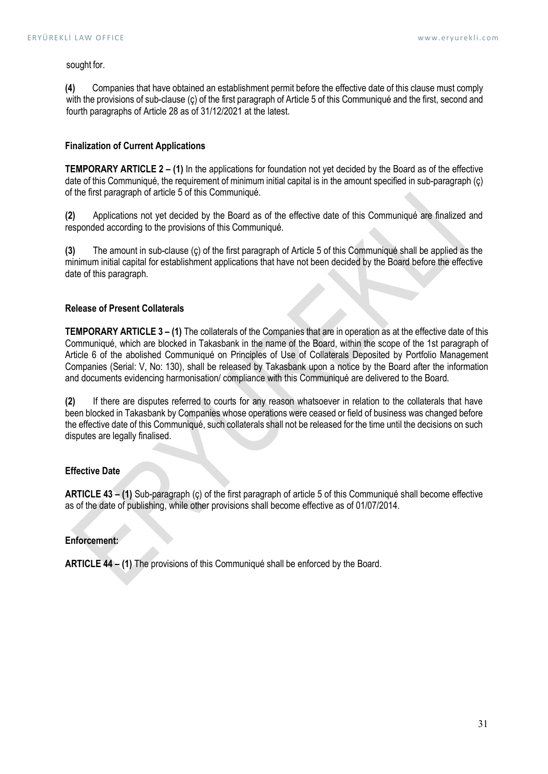#### sought for.

(4) Companies that have obtained an establishment permit before the effective date of this clause must comply with the provisions of sub-clause (ç) of the first paragraph of Article 5 of this Communiqué and the first, second and fourth paragraphs of Article 28 as of 31/12/2021 at the latest.

### Finalization of Current Applications

TEMPORARY ARTICLE 2 – (1) In the applications for foundation not yet decided by the Board as of the effective date of this Communiqué, the requirement of minimum initial capital is in the amount specified in sub-paragraph (ç) of the first paragraph of article 5 of this Communiqué.

(2) Applications not yet decided by the Board as of the effective date of this Communiqué are finalized and responded according to the provisions of this Communiqué.

(3) The amount in sub-clause (ç) of the first paragraph of Article 5 of this Communiqué shall be applied as the minimum initial capital for establishment applications that have not been decided by the Board before the effective date of this paragraph.

### Release of Present Collaterals

TEMPORARY ARTICLE 3 – (1) The collaterals of the Companies that are in operation as at the effective date of this Communiqué, which are blocked in Takasbank in the name of the Board, within the scope of the 1st paragraph of Article 6 of the abolished Communiqué on Principles of Use of Collaterals Deposited by Portfolio Management Companies (Serial: V, No: 130), shall be released by Takasbank upon a notice by the Board after the information and documents evidencing harmonisation/ compliance with this Communiqué are delivered to the Board.

(2) If there are disputes referred to courts for any reason whatsoever in relation to the collaterals that have been blocked in Takasbank by Companies whose operations were ceased or field of business was changed before the effective date of this Communiqué, such collaterals shall not be released for the time until the decisions on such disputes are legally finalised.

# Effective Date

ARTICLE 43 – (1) Sub-paragraph (ç) of the first paragraph of article 5 of this Communiqué shall become effective as of the date of publishing, while other provisions shall become effective as of 01/07/2014.

## Enforcement:

ARTICLE 44 – (1) The provisions of this Communiqué shall be enforced by the Board.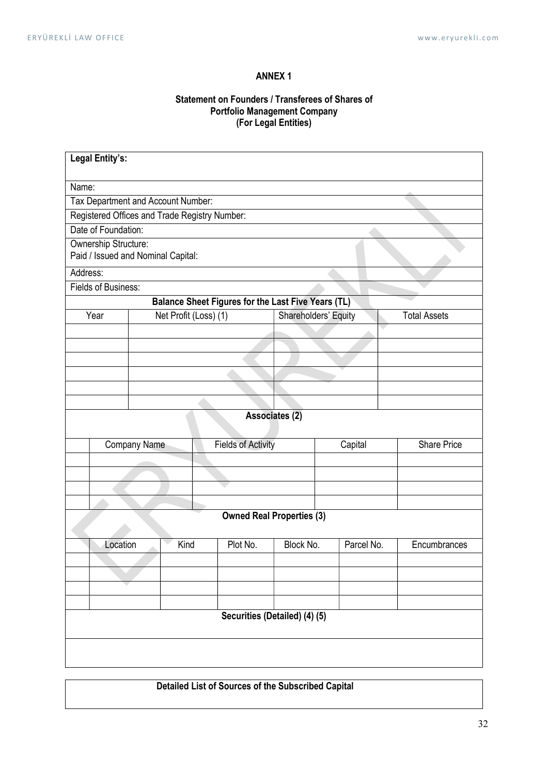# ANNEX 1

# Statement on Founders / Transferees of Shares of Portfolio Management Company (For Legal Entities)

| Legal Entity's:                                            |                               |          |                           |                                             |              |                    |  |  |  |  |
|------------------------------------------------------------|-------------------------------|----------|---------------------------|---------------------------------------------|--------------|--------------------|--|--|--|--|
| Name:                                                      |                               |          |                           |                                             |              |                    |  |  |  |  |
| Tax Department and Account Number:                         |                               |          |                           |                                             |              |                    |  |  |  |  |
| Registered Offices and Trade Registry Number:              |                               |          |                           |                                             |              |                    |  |  |  |  |
| Date of Foundation:                                        |                               |          |                           |                                             |              |                    |  |  |  |  |
| Ownership Structure:<br>Paid / Issued and Nominal Capital: |                               |          |                           |                                             |              |                    |  |  |  |  |
| Address:                                                   |                               |          |                           |                                             |              |                    |  |  |  |  |
| Fields of Business:                                        |                               |          |                           |                                             |              |                    |  |  |  |  |
| Balance Sheet Figures for the Last Five Years (TL)         |                               |          |                           |                                             |              |                    |  |  |  |  |
|                                                            | Net Profit (Loss) (1)<br>Year |          |                           | Shareholders' Equity<br><b>Total Assets</b> |              |                    |  |  |  |  |
|                                                            |                               |          |                           |                                             |              |                    |  |  |  |  |
|                                                            |                               |          |                           |                                             |              |                    |  |  |  |  |
|                                                            |                               |          |                           |                                             |              |                    |  |  |  |  |
|                                                            |                               |          |                           |                                             |              |                    |  |  |  |  |
|                                                            |                               |          |                           |                                             |              |                    |  |  |  |  |
| Associates (2)                                             |                               |          |                           |                                             |              |                    |  |  |  |  |
|                                                            | <b>Company Name</b>           |          | <b>Fields of Activity</b> | Capital                                     |              | <b>Share Price</b> |  |  |  |  |
|                                                            |                               |          |                           |                                             |              |                    |  |  |  |  |
|                                                            |                               |          |                           |                                             |              |                    |  |  |  |  |
|                                                            |                               |          |                           |                                             |              |                    |  |  |  |  |
|                                                            |                               |          |                           |                                             |              |                    |  |  |  |  |
| <b>Owned Real Properties (3)</b>                           |                               |          |                           |                                             |              |                    |  |  |  |  |
| Kind<br>Location                                           |                               | Plot No. | Block No.                 | Parcel No.                                  | Encumbrances |                    |  |  |  |  |
|                                                            |                               |          |                           |                                             |              |                    |  |  |  |  |
|                                                            |                               |          |                           |                                             |              |                    |  |  |  |  |
|                                                            |                               |          |                           |                                             |              |                    |  |  |  |  |
|                                                            |                               |          |                           |                                             |              |                    |  |  |  |  |
|                                                            |                               |          |                           | Securities (Detailed) (4) (5)               |              |                    |  |  |  |  |
|                                                            |                               |          |                           |                                             |              |                    |  |  |  |  |
|                                                            |                               |          |                           |                                             |              |                    |  |  |  |  |

Detailed List of Sources of the Subscribed Capital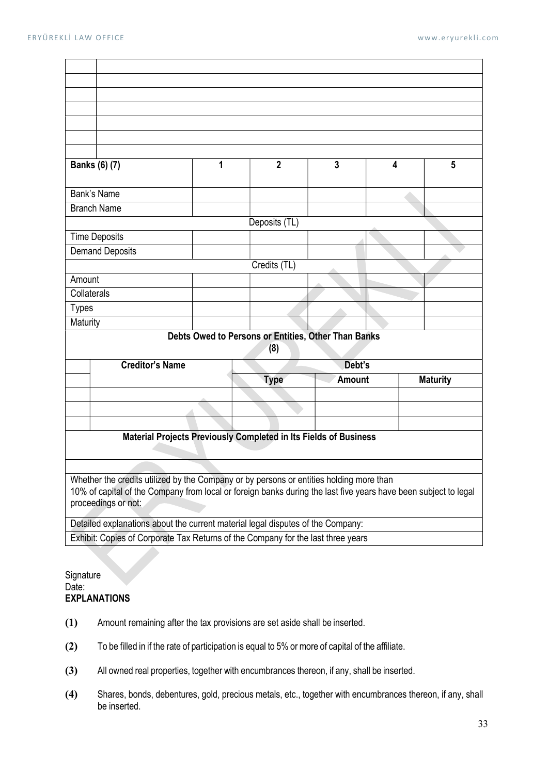| $\overline{2}$<br>3                                              |                                                                                                                                                                                                                                   |   |             |               |                                                     |   |                 |  |  |
|------------------------------------------------------------------|-----------------------------------------------------------------------------------------------------------------------------------------------------------------------------------------------------------------------------------|---|-------------|---------------|-----------------------------------------------------|---|-----------------|--|--|
| Banks (6) (7)                                                    |                                                                                                                                                                                                                                   | 1 |             |               |                                                     | 4 | 5               |  |  |
| Bank's Name                                                      |                                                                                                                                                                                                                                   |   |             |               |                                                     |   |                 |  |  |
|                                                                  | <b>Branch Name</b>                                                                                                                                                                                                                |   |             |               |                                                     |   |                 |  |  |
|                                                                  |                                                                                                                                                                                                                                   |   |             | Deposits (TL) |                                                     |   |                 |  |  |
|                                                                  | <b>Time Deposits</b>                                                                                                                                                                                                              |   |             |               |                                                     |   |                 |  |  |
|                                                                  | <b>Demand Deposits</b>                                                                                                                                                                                                            |   |             |               |                                                     |   |                 |  |  |
|                                                                  | Credits (TL)                                                                                                                                                                                                                      |   |             |               |                                                     |   |                 |  |  |
| Amount                                                           |                                                                                                                                                                                                                                   |   |             |               |                                                     |   |                 |  |  |
| Collaterals                                                      |                                                                                                                                                                                                                                   |   |             |               |                                                     |   |                 |  |  |
| <b>Types</b>                                                     |                                                                                                                                                                                                                                   |   |             |               |                                                     |   |                 |  |  |
| Maturity                                                         |                                                                                                                                                                                                                                   |   |             |               |                                                     |   |                 |  |  |
|                                                                  |                                                                                                                                                                                                                                   |   |             | (8)           | Debts Owed to Persons or Entities, Other Than Banks |   |                 |  |  |
|                                                                  | <b>Creditor's Name</b><br>Debt's                                                                                                                                                                                                  |   |             |               |                                                     |   |                 |  |  |
|                                                                  |                                                                                                                                                                                                                                   |   | <b>Type</b> |               | <b>Amount</b>                                       |   | <b>Maturity</b> |  |  |
|                                                                  |                                                                                                                                                                                                                                   |   |             |               |                                                     |   |                 |  |  |
|                                                                  |                                                                                                                                                                                                                                   |   |             |               |                                                     |   |                 |  |  |
|                                                                  |                                                                                                                                                                                                                                   |   |             |               |                                                     |   |                 |  |  |
| Material Projects Previously Completed in Its Fields of Business |                                                                                                                                                                                                                                   |   |             |               |                                                     |   |                 |  |  |
|                                                                  |                                                                                                                                                                                                                                   |   |             |               |                                                     |   |                 |  |  |
|                                                                  | Whether the credits utilized by the Company or by persons or entities holding more than<br>10% of capital of the Company from local or foreign banks during the last five years have been subject to legal<br>proceedings or not: |   |             |               |                                                     |   |                 |  |  |
|                                                                  | Detailed explanations about the current material legal disputes of the Company:                                                                                                                                                   |   |             |               |                                                     |   |                 |  |  |
|                                                                  | Exhibit: Copies of Corporate Tax Returns of the Company for the last three years                                                                                                                                                  |   |             |               |                                                     |   |                 |  |  |

# **Signature** Date: EXPLANATIONS

- (1) Amount remaining after the tax provisions are set aside shall be inserted.
- (2) To be filled in if the rate of participation is equal to 5% or more of capital of the affiliate.
- (3) All owned real properties, together with encumbrances thereon, if any, shall be inserted.
- (4) Shares, bonds, debentures, gold, precious metals, etc., together with encumbrances thereon, if any, shall be inserted.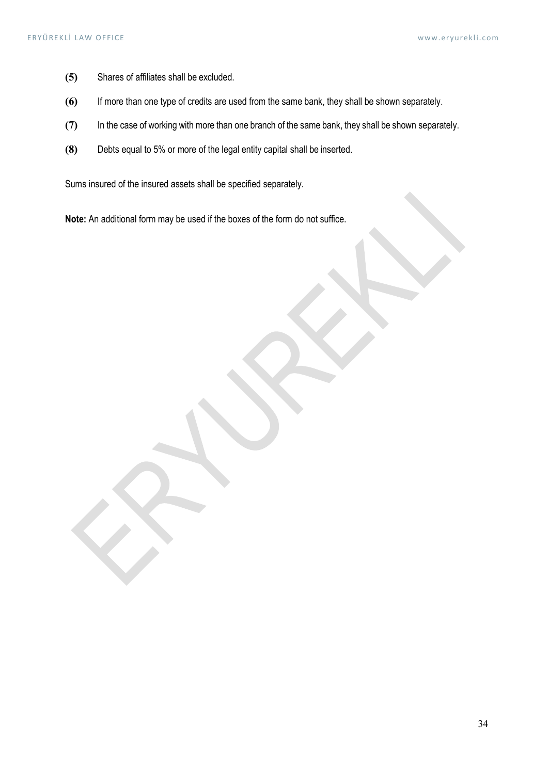- (5) Shares of affiliates shall be excluded.
- (6) If more than one type of credits are used from the same bank, they shall be shown separately.
- (7) In the case of working with more than one branch of the same bank, they shall be shown separately.
- (8) Debts equal to 5% or more of the legal entity capital shall be inserted.

Sums insured of the insured assets shall be specified separately.

Note: An additional form may be used if the boxes of the form do not suffice.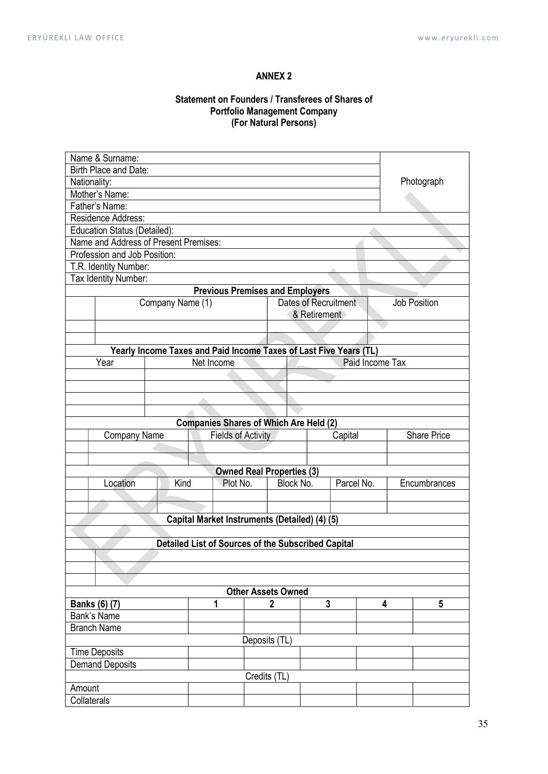# ANNEX 2

# Statement on Founders / Transferees of Shares of Portfolio Management Company (For Natural Persons)

| Name & Surname:                                                                                                |                                               |                  |                                                                   |          |                                  |                      |              |                    |  |              |
|----------------------------------------------------------------------------------------------------------------|-----------------------------------------------|------------------|-------------------------------------------------------------------|----------|----------------------------------|----------------------|--------------|--------------------|--|--------------|
| Birth Place and Date:                                                                                          |                                               |                  |                                                                   |          |                                  |                      |              |                    |  |              |
|                                                                                                                | Nationality:                                  |                  |                                                                   |          |                                  |                      |              |                    |  | Photograph   |
| Mother's Name:                                                                                                 |                                               |                  |                                                                   |          |                                  |                      |              |                    |  |              |
|                                                                                                                | Father's Name:                                |                  |                                                                   |          |                                  |                      |              |                    |  |              |
|                                                                                                                | Residence Address:                            |                  |                                                                   |          |                                  |                      |              |                    |  |              |
|                                                                                                                | Education Status (Detailed):                  |                  |                                                                   |          |                                  |                      |              |                    |  |              |
|                                                                                                                | Name and Address of Present Premises:         |                  |                                                                   |          |                                  |                      |              |                    |  |              |
|                                                                                                                | Profession and Job Position:                  |                  |                                                                   |          |                                  |                      |              |                    |  |              |
|                                                                                                                | T.R. Identity Number:<br>Tax Identity Number: |                  |                                                                   |          |                                  |                      |              |                    |  |              |
|                                                                                                                |                                               |                  | <b>Previous Premises and Employers</b>                            |          |                                  |                      |              |                    |  |              |
|                                                                                                                |                                               | Company Name (1) |                                                                   |          |                                  | Dates of Recruitment |              |                    |  | Job Position |
|                                                                                                                |                                               |                  |                                                                   |          |                                  | & Retirement         |              |                    |  |              |
|                                                                                                                |                                               |                  |                                                                   |          |                                  |                      |              |                    |  |              |
|                                                                                                                |                                               |                  |                                                                   |          |                                  |                      |              |                    |  |              |
|                                                                                                                |                                               |                  | Yearly Income Taxes and Paid Income Taxes of Last Five Years (TL) |          |                                  |                      |              |                    |  |              |
|                                                                                                                | Year                                          |                  | Net Income                                                        |          |                                  |                      |              | Paid Income Tax    |  |              |
|                                                                                                                |                                               |                  |                                                                   |          |                                  |                      |              |                    |  |              |
|                                                                                                                |                                               |                  |                                                                   |          |                                  |                      |              |                    |  |              |
|                                                                                                                |                                               |                  |                                                                   |          |                                  |                      |              |                    |  |              |
|                                                                                                                |                                               |                  |                                                                   |          |                                  |                      |              |                    |  |              |
|                                                                                                                |                                               |                  | <b>Companies Shares of Which Are Held (2)</b>                     |          |                                  |                      |              |                    |  |              |
| <b>Fields of Activity</b><br>Capital<br>Company Name                                                           |                                               |                  |                                                                   |          |                                  |                      |              | <b>Share Price</b> |  |              |
|                                                                                                                |                                               |                  |                                                                   |          |                                  |                      |              |                    |  |              |
|                                                                                                                |                                               |                  |                                                                   |          |                                  |                      |              |                    |  |              |
|                                                                                                                |                                               |                  |                                                                   |          | <b>Owned Real Properties (3)</b> |                      |              |                    |  |              |
|                                                                                                                | Location                                      | Kind             |                                                                   | Plot No. | Parcel No.<br>Block No.          |                      | Encumbrances |                    |  |              |
|                                                                                                                |                                               |                  |                                                                   |          |                                  |                      |              |                    |  |              |
|                                                                                                                |                                               |                  |                                                                   |          |                                  |                      |              |                    |  |              |
|                                                                                                                |                                               |                  | Capital Market Instruments (Detailed) (4) (5)                     |          |                                  |                      |              |                    |  |              |
|                                                                                                                |                                               |                  |                                                                   |          |                                  |                      |              |                    |  |              |
|                                                                                                                |                                               |                  | Detailed List of Sources of the Subscribed Capital                |          |                                  |                      |              |                    |  |              |
|                                                                                                                |                                               |                  |                                                                   |          |                                  |                      |              |                    |  |              |
|                                                                                                                |                                               |                  |                                                                   |          |                                  |                      |              |                    |  |              |
|                                                                                                                |                                               |                  |                                                                   |          |                                  |                      |              |                    |  |              |
| <b>Other Assets Owned</b><br>$\mathbf{3}$<br>$5\phantom{.0}$<br><b>Banks (6) (7)</b><br>4<br>1<br>$\mathbf{2}$ |                                               |                  |                                                                   |          |                                  |                      |              |                    |  |              |
| Bank's Name                                                                                                    |                                               |                  |                                                                   |          |                                  |                      |              |                    |  |              |
|                                                                                                                |                                               |                  |                                                                   |          |                                  |                      |              |                    |  |              |
| <b>Branch Name</b><br>Deposits (TL)                                                                            |                                               |                  |                                                                   |          |                                  |                      |              |                    |  |              |
| <b>Time Deposits</b>                                                                                           |                                               |                  |                                                                   |          |                                  |                      |              |                    |  |              |
| <b>Demand Deposits</b>                                                                                         |                                               |                  |                                                                   |          |                                  |                      |              |                    |  |              |
|                                                                                                                |                                               |                  |                                                                   |          | Credits (TL)                     |                      |              |                    |  |              |
| Amount                                                                                                         |                                               |                  |                                                                   |          |                                  |                      |              |                    |  |              |
|                                                                                                                | Collaterals                                   |                  |                                                                   |          |                                  |                      |              |                    |  |              |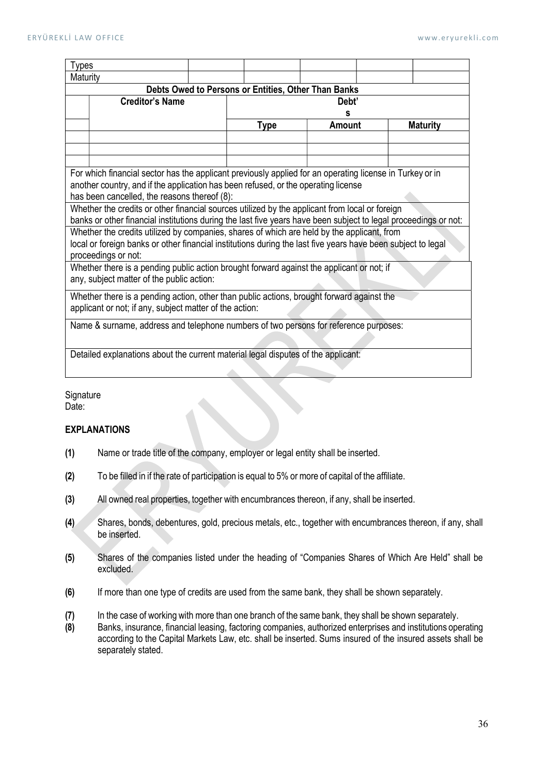| Types                                                                                                           |                                                                                    |  |             |        |  |                 |  |  |  |  |
|-----------------------------------------------------------------------------------------------------------------|------------------------------------------------------------------------------------|--|-------------|--------|--|-----------------|--|--|--|--|
| Maturity                                                                                                        |                                                                                    |  |             |        |  |                 |  |  |  |  |
| Debts Owed to Persons or Entities, Other Than Banks                                                             |                                                                                    |  |             |        |  |                 |  |  |  |  |
| <b>Creditor's Name</b><br>Debt'                                                                                 |                                                                                    |  |             |        |  |                 |  |  |  |  |
|                                                                                                                 | s                                                                                  |  |             |        |  |                 |  |  |  |  |
|                                                                                                                 |                                                                                    |  | <b>Type</b> | Amount |  | <b>Maturity</b> |  |  |  |  |
|                                                                                                                 |                                                                                    |  |             |        |  |                 |  |  |  |  |
|                                                                                                                 |                                                                                    |  |             |        |  |                 |  |  |  |  |
|                                                                                                                 |                                                                                    |  |             |        |  |                 |  |  |  |  |
| For which financial sector has the applicant previously applied for an operating license in Turkey or in        |                                                                                    |  |             |        |  |                 |  |  |  |  |
|                                                                                                                 | another country, and if the application has been refused, or the operating license |  |             |        |  |                 |  |  |  |  |
| has been cancelled, the reasons thereof (8):                                                                    |                                                                                    |  |             |        |  |                 |  |  |  |  |
| Whether the credits or other financial sources utilized by the applicant from local or foreign                  |                                                                                    |  |             |        |  |                 |  |  |  |  |
| banks or other financial institutions during the last five years have been subject to legal proceedings or not: |                                                                                    |  |             |        |  |                 |  |  |  |  |
| Whether the credits utilized by companies, shares of which are held by the applicant, from                      |                                                                                    |  |             |        |  |                 |  |  |  |  |
| local or foreign banks or other financial institutions during the last five years have been subject to legal    |                                                                                    |  |             |        |  |                 |  |  |  |  |
| proceedings or not:                                                                                             |                                                                                    |  |             |        |  |                 |  |  |  |  |
| Whether there is a pending public action brought forward against the applicant or not; if                       |                                                                                    |  |             |        |  |                 |  |  |  |  |
| any, subject matter of the public action:                                                                       |                                                                                    |  |             |        |  |                 |  |  |  |  |
| Whether there is a pending action, other than public actions, brought forward against the                       |                                                                                    |  |             |        |  |                 |  |  |  |  |
| applicant or not; if any, subject matter of the action:                                                         |                                                                                    |  |             |        |  |                 |  |  |  |  |
|                                                                                                                 |                                                                                    |  |             |        |  |                 |  |  |  |  |
| Name & surname, address and telephone numbers of two persons for reference purposes:                            |                                                                                    |  |             |        |  |                 |  |  |  |  |
|                                                                                                                 |                                                                                    |  |             |        |  |                 |  |  |  |  |
| Detailed explanations about the current material legal disputes of the applicant:                               |                                                                                    |  |             |        |  |                 |  |  |  |  |
|                                                                                                                 |                                                                                    |  |             |        |  |                 |  |  |  |  |

**Signature** Date:

# EXPLANATIONS

- (1) Name or trade title of the company, employer or legal entity shall be inserted.
- (2) To be filled in if the rate of participation is equal to 5% or more of capital of the affiliate.
- (3) All owned real properties, together with encumbrances thereon, if any, shall be inserted.
- (4) Shares, bonds, debentures, gold, precious metals, etc., together with encumbrances thereon, if any, shall be inserted.
- (5) Shares of the companies listed under the heading of "Companies Shares of Which Are Held" shall be excluded.
- (6) If more than one type of credits are used from the same bank, they shall be shown separately.
- (7) In the case of working with more than one branch of the same bank, they shall be shown separately.
- (8) Banks, insurance, financial leasing, factoring companies, authorized enterprises and institutions operating according to the Capital Markets Law, etc. shall be inserted. Sums insured of the insured assets shall be separately stated.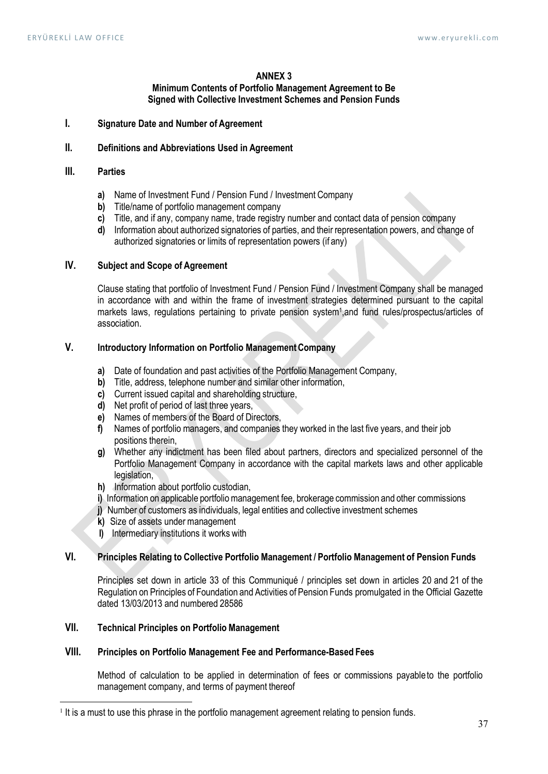#### ANNEX 3

#### Minimum Contents of Portfolio Management Agreement to Be Signed with Collective Investment Schemes and Pension Funds

I. Signature Date and Number of Agreement

#### II. Definitions and Abbreviations Used in Agreement

#### III. Parties

- a) Name of Investment Fund / Pension Fund / Investment Company
- b) Title/name of portfolio management company
- c) Title, and if any, company name, trade registry number and contact data of pension company
- d) Information about authorized signatories of parties, and their representation powers, and change of authorized signatories or limits of representation powers (if any)

### IV. Subject and Scope of Agreement

Clause stating that portfolio of Investment Fund / Pension Fund / Investment Company shall be managed in accordance with and within the frame of investment strategies determined pursuant to the capital markets laws, regulations pertaining to private pension system<sup>1</sup>, and fund rules/prospectus/articles of association.

# V. Introductory Information on Portfolio Management Company

- a) Date of foundation and past activities of the Portfolio Management Company,
- b) Title, address, telephone number and similar other information,
- c) Current issued capital and shareholding structure,
- d) Net profit of period of last three years,
- e) Names of members of the Board of Directors,
- f) Names of portfolio managers, and companies they worked in the last five years, and their job positions therein,
- g) Whether any indictment has been filed about partners, directors and specialized personnel of the Portfolio Management Company in accordance with the capital markets laws and other applicable legislation,
- h) Information about portfolio custodian.
- i) Information on applicable portfolio management fee, brokerage commission and other commissions
- j) Number of customers as individuals, legal entities and collective investment schemes
- k) Size of assets under management
- l) Intermediary institutions it works with

# VI. Principles Relating to Collective Portfolio Management / Portfolio Management of Pension Funds

Principles set down in article 33 of this Communiqué / principles set down in articles 20 and 21 of the Regulation on Principles of Foundation and Activities of Pension Funds promulgated in the Official Gazette dated 13/03/2013 and numbered 28586

# VII. Technical Principles on Portfolio Management

#### VIII. Principles on Portfolio Management Fee and Performance-Based Fees

Method of calculation to be applied in determination of fees or commissions payable to the portfolio management company, and terms of payment thereof

<sup>&</sup>lt;sup>1</sup> It is a must to use this phrase in the portfolio management agreement relating to pension funds.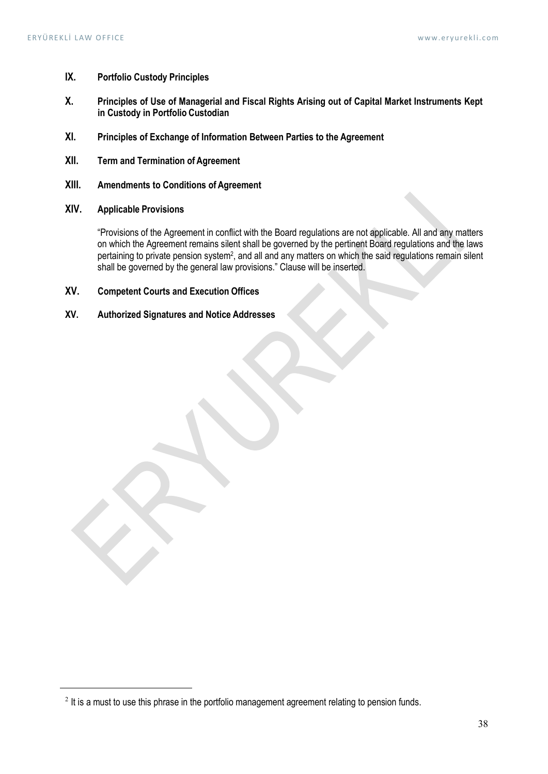- IX. Portfolio Custody Principles
- X. Principles of Use of Managerial and Fiscal Rights Arising out of Capital Market Instruments Kept in Custody in Portfolio Custodian
- XI. Principles of Exchange of Information Between Parties to the Agreement
- XII. Term and Termination of Agreement
- XIII. Amendments to Conditions of Agreement
- XIV. Applicable Provisions

"Provisions of the Agreement in conflict with the Board regulations are not applicable. All and any matters on which the Agreement remains silent shall be governed by the pertinent Board regulations and the laws pertaining to private pension system<sup>2</sup>, and all and any matters on which the said regulations remain silent shall be governed by the general law provisions." Clause will be inserted.

- XV. Competent Courts and Execution Offices
- XV. Authorized Signatures and Notice Addresses

 $2$  It is a must to use this phrase in the portfolio management agreement relating to pension funds.